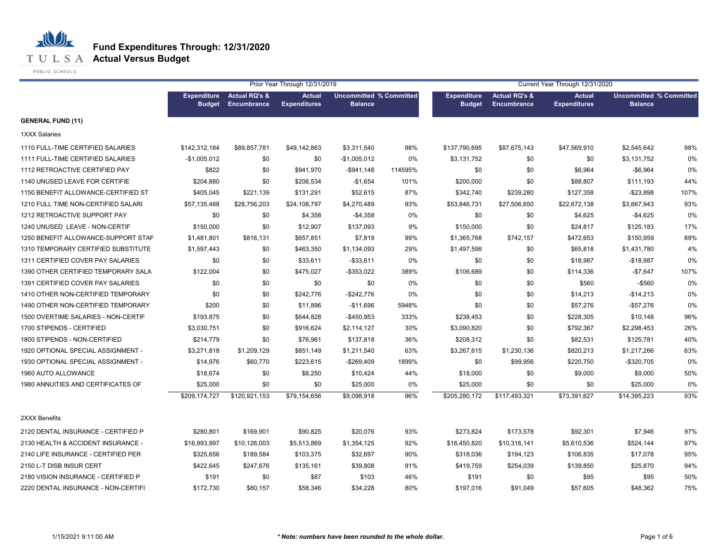## **T U L S A Actual Versus Budget**

PUBLIC SCHOOLS

|                                     | Prior Year Through 12/31/2019       |                                         |                                      |                                                  |         | Current Year Through 12/31/2020     |                                         |                                      |                                                  |      |
|-------------------------------------|-------------------------------------|-----------------------------------------|--------------------------------------|--------------------------------------------------|---------|-------------------------------------|-----------------------------------------|--------------------------------------|--------------------------------------------------|------|
|                                     | <b>Expenditure</b><br><b>Budget</b> | <b>Actual RQ's &amp;</b><br>Encumbrance | <b>Actual</b><br><b>Expenditures</b> | <b>Uncommitted % Committed</b><br><b>Balance</b> |         | <b>Expenditure</b><br><b>Budget</b> | <b>Actual RQ's &amp;</b><br>Encumbrance | <b>Actual</b><br><b>Expenditures</b> | <b>Uncommitted % Committed</b><br><b>Balance</b> |      |
| <b>GENERAL FUND (11)</b>            |                                     |                                         |                                      |                                                  |         |                                     |                                         |                                      |                                                  |      |
| <b>1XXX Salaries</b>                |                                     |                                         |                                      |                                                  |         |                                     |                                         |                                      |                                                  |      |
| 1110 FULL-TIME CERTIFIED SALARIES   | \$142,312,184                       | \$89,857,781                            | \$49,142,863                         | \$3,311,540                                      | 98%     | \$137,790,695                       | \$87,675,143                            | \$47,569,910                         | \$2,545,642                                      | 98%  |
| 1111 FULL-TIME CERTIFIED SALARIES   | $-$1,005,012$                       | \$0                                     | \$0                                  | $-$1,005,012$                                    | 0%      | \$3,131,752                         | \$0                                     | \$0                                  | \$3,131,752                                      | 0%   |
| 1112 RETROACTIVE CERTIFIED PAY      | \$822                               | \$0                                     | \$941,970                            | $-$ \$941,148                                    | 114595% | \$0                                 | \$0                                     | \$6,964                              | $-$6,964$                                        | 0%   |
| 1140 UNUSED LEAVE FOR CERTIFIE      | \$204,880                           | \$0                                     | \$206,534                            | $-$1,654$                                        | 101%    | \$200,000                           | \$0                                     | \$88,807                             | \$111,193                                        | 44%  |
| 1150 BENEFIT ALLOWANCE-CERTIFIED ST | \$405,045                           | \$221,139                               | \$131,291                            | \$52,615                                         | 87%     | \$342,740                           | \$239,280                               | \$127,358                            | $-$23,898$                                       | 107% |
| 1210 FULL TIME NON-CERTIFIED SALARI | \$57,135,488                        | \$28,756,203                            | \$24,108,797                         | \$4,270,489                                      | 93%     | \$53,846,731                        | \$27,506,650                            | \$22,672,138                         | \$3,667,943                                      | 93%  |
| 1212 RETROACTIVE SUPPORT PAY        | \$0                                 | \$0                                     | \$4,358                              | $-$4,358$                                        | 0%      | \$0                                 | \$0                                     | \$4,625                              | $-$4,625$                                        | 0%   |
| 1240 UNUSED LEAVE - NON-CERTIF      | \$150,000                           | \$0                                     | \$12,907                             | \$137,093                                        | 9%      | \$150,000                           | \$0                                     | \$24,817                             | \$125,183                                        | 17%  |
| 1250 BENEFIT ALLOWANCE-SUPPORT STAF | \$1,481,801                         | \$816,131                               | \$657,851                            | \$7,819                                          | 99%     | \$1,365,768                         | \$742,157                               | \$472,653                            | \$150,959                                        | 89%  |
| 1310 TEMPORARY CERTIFIED SUBSTITUTE | \$1,597,443                         | \$0                                     | \$463,350                            | \$1,134,093                                      | 29%     | \$1,497,598                         | \$0                                     | \$65,818                             | \$1,431,780                                      | 4%   |
| 1311 CERTIFIED COVER PAY SALARIES   | \$0                                 | \$0                                     | \$33,611                             | $-$ \$33,611                                     | 0%      | \$0                                 | \$0                                     | \$18,987                             | $-$18,987$                                       | 0%   |
| 1390 OTHER CERTIFIED TEMPORARY SALA | \$122,004                           | \$0                                     | \$475,027                            | -\$353,022                                       | 389%    | \$106,689                           | \$0                                     | \$114,336                            | $-$7,647$                                        | 107% |
| 1391 CERTIFIED COVER PAY SALARIES   | \$0                                 | \$0                                     | \$0                                  | \$0                                              | 0%      | \$0                                 | \$0                                     | \$560                                | $-$ \$560                                        | 0%   |
| 1410 OTHER NON-CERTIFIED TEMPORARY  | \$0                                 | \$0                                     | \$242,776                            | $-$242,776$                                      | 0%      | \$0                                 | \$0                                     | \$14,213                             | $-$14,213$                                       | 0%   |
| 1490 OTHER NON-CERTIFIED TEMPORARY  | \$200                               | \$0                                     | \$11,896                             | $-$11,696$                                       | 5948%   | \$0                                 | \$0                                     | \$57,276                             | $-$57,276$                                       | 0%   |
| 1500 OVERTIME SALARIES - NON-CERTIF | \$193,875                           | \$0                                     | \$644,828                            | $-$450,953$                                      | 333%    | \$238,453                           | \$0                                     | \$228,305                            | \$10,148                                         | 96%  |
| 1700 STIPENDS - CERTIFIED           | \$3,030,751                         | \$0                                     | \$916,624                            | \$2,114,127                                      | 30%     | \$3,090,820                         | \$0                                     | \$792,367                            | \$2,298,453                                      | 26%  |
| 1800 STIPENDS - NON-CERTIFIED       | \$214,779                           | \$0                                     | \$76,961                             | \$137,818                                        | 36%     | \$208,312                           | \$0                                     | \$82,531                             | \$125,781                                        | 40%  |
| 1920 OPTIONAL SPECIAL ASSIGNMENT -  | \$3,271,818                         | \$1,209,129                             | \$851,149                            | \$1,211,540                                      | 63%     | \$3,267,615                         | \$1,230,136                             | \$820,213                            | \$1,217,266                                      | 63%  |
| 1930 OPTIONAL SPECIAL ASSIGNMENT -  | \$14,976                            | \$60,770                                | \$223,615                            | $-$269,409$                                      | 1899%   | \$0                                 | \$99,956                                | \$220,750                            | $-$320,705$                                      | 0%   |
| 1960 AUTO ALLOWANCE                 | \$18,674                            | \$0                                     | \$8,250                              | \$10,424                                         | 44%     | \$18,000                            | \$0                                     | \$9,000                              | \$9,000                                          | 50%  |
| 1980 ANNUITIES AND CERTIFICATES OF  | \$25,000                            | \$0                                     | \$0                                  | \$25,000                                         | 0%      | \$25,000                            | \$0                                     | \$0                                  | \$25,000                                         | 0%   |
|                                     | \$209,174,727                       | \$120,921,153                           | \$79,154,656                         | \$9,098,918                                      | 96%     | \$205,280,172                       | \$117,493,321                           | \$73,391,627                         | \$14,395,223                                     | 93%  |
| 2XXX Benefits                       |                                     |                                         |                                      |                                                  |         |                                     |                                         |                                      |                                                  |      |
| 2120 DENTAL INSURANCE - CERTIFIED P | \$280,801                           | \$169,901                               | \$90,825                             | \$20,076                                         | 93%     | \$273,824                           | \$173,578                               | \$92,301                             | \$7,946                                          | 97%  |
| 2130 HEALTH & ACCIDENT INSURANCE -  | \$16,993,997                        | \$10,126,003                            | \$5,513,869                          | \$1,354,125                                      | 92%     | \$16,450,820                        | \$10,316,141                            | \$5,610,536                          | \$524,144                                        | 97%  |
| 2140 LIFE INSURANCE - CERTIFIED PER | \$325,656                           | \$189,584                               | \$103,375                            | \$32,697                                         | 90%     | \$318,036                           | \$194,123                               | \$106,835                            | \$17,078                                         | 95%  |
| 2150 L-T DISB INSUR CERT            | \$422,645                           | \$247,676                               | \$135,161                            | \$39,808                                         | 91%     | \$419,759                           | \$254,039                               | \$139,850                            | \$25,870                                         | 94%  |
| 2180 VISION INSURANCE - CERTIFIED P | \$191                               | \$0                                     | \$87                                 | \$103                                            | 46%     | \$191                               | \$0                                     | \$95                                 | \$95                                             | 50%  |
| 2220 DENTAL INSURANCE - NON-CERTIFI | \$172,730                           | \$80,157                                | \$58,346                             | \$34,228                                         | 80%     | \$197,016                           | \$91,049                                | \$57,605                             | \$48,362                                         | 75%  |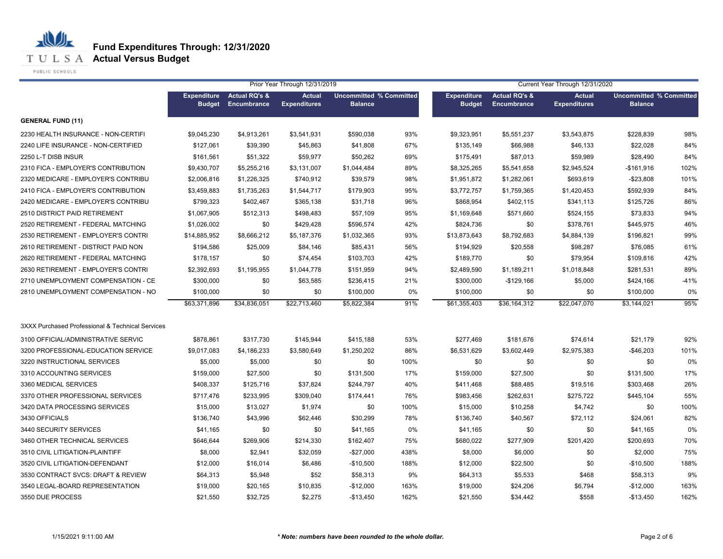**T U L S A Actual Versus Budget** 

PUBLIC SCHOOLS

|                                                  |              |                                                        | Prior Year Through 12/31/2019        |                                                  |      | Current Year Through 12/31/2020     |                                         |                                      |                                                  |        |
|--------------------------------------------------|--------------|--------------------------------------------------------|--------------------------------------|--------------------------------------------------|------|-------------------------------------|-----------------------------------------|--------------------------------------|--------------------------------------------------|--------|
|                                                  |              | Expenditure Actual RQ's &<br><b>Budget Encumbrance</b> | <b>Actual</b><br><b>Expenditures</b> | <b>Uncommitted % Committed</b><br><b>Balance</b> |      | <b>Expenditure</b><br><b>Budget</b> | <b>Actual RQ's &amp;</b><br>Encumbrance | <b>Actual</b><br><b>Expenditures</b> | <b>Uncommitted % Committed</b><br><b>Balance</b> |        |
| <b>GENERAL FUND (11)</b>                         |              |                                                        |                                      |                                                  |      |                                     |                                         |                                      |                                                  |        |
| 2230 HEALTH INSURANCE - NON-CERTIFI              | \$9,045,230  | \$4,913,261                                            | \$3,541,931                          | \$590,038                                        | 93%  | \$9,323,951                         | \$5,551,237                             | \$3,543,875                          | \$228,839                                        | 98%    |
| 2240 LIFE INSURANCE - NON-CERTIFIED              | \$127,061    | \$39,390                                               | \$45,863                             | \$41,808                                         | 67%  | \$135,149                           | \$66,988                                | \$46,133                             | \$22,028                                         | 84%    |
| 2250 L-T DISB INSUR                              | \$161,561    | \$51,322                                               | \$59,977                             | \$50,262                                         | 69%  | \$175,491                           | \$87,013                                | \$59,989                             | \$28,490                                         | 84%    |
| 2310 FICA - EMPLOYER'S CONTRIBUTION              | \$9,430,707  | \$5,255,216                                            | \$3,131,007                          | \$1,044,484                                      | 89%  | \$8,325,265                         | \$5,541,658                             | \$2,945,524                          | $-$161,916$                                      | 102%   |
| 2320 MEDICARE - EMPLOYER'S CONTRIBU              | \$2,006,816  | \$1,226,325                                            | \$740,912                            | \$39,579                                         | 98%  | \$1,951,872                         | \$1,282,061                             | \$693,619                            | $-$23,808$                                       | 101%   |
| 2410 FICA - EMPLOYER'S CONTRIBUTION              | \$3,459,883  | \$1,735,263                                            | \$1,544,717                          | \$179,903                                        | 95%  | \$3,772,757                         | \$1,759,365                             | \$1,420,453                          | \$592,939                                        | 84%    |
| 2420 MEDICARE - EMPLOYER'S CONTRIBU              | \$799,323    | \$402,467                                              | \$365,138                            | \$31,718                                         | 96%  | \$868,954                           | \$402,115                               | \$341,113                            | \$125,726                                        | 86%    |
| 2510 DISTRICT PAID RETIREMENT                    | \$1,067,905  | \$512,313                                              | \$498,483                            | \$57,109                                         | 95%  | \$1,169,648                         | \$571,660                               | \$524,155                            | \$73,833                                         | 94%    |
| 2520 RETIREMENT - FEDERAL MATCHING               | \$1,026,002  | \$0                                                    | \$429,428                            | \$596,574                                        | 42%  | \$824,736                           | \$0                                     | \$378,761                            | \$445,975                                        | 46%    |
| 2530 RETIREMENT - EMPLOYER'S CONTRI              | \$14,885,952 | \$8,666,212                                            | \$5,187,376                          | \$1,032,365                                      | 93%  | \$13,873,643                        | \$8,792,683                             | \$4,884,139                          | \$196,821                                        | 99%    |
| 2610 RETIREMENT - DISTRICT PAID NON              | \$194,586    | \$25,009                                               | \$84,146                             | \$85,431                                         | 56%  | \$194,929                           | \$20,558                                | \$98,287                             | \$76,085                                         | 61%    |
| 2620 RETIREMENT - FEDERAL MATCHING               | \$178,157    | \$0                                                    | \$74,454                             | \$103,703                                        | 42%  | \$189,770                           | \$0                                     | \$79,954                             | \$109,816                                        | 42%    |
| 2630 RETIREMENT - EMPLOYER'S CONTRI              | \$2,392,693  | \$1,195,955                                            | \$1,044,778                          | \$151,959                                        | 94%  | \$2,489,590                         | \$1,189,211                             | \$1,018,848                          | \$281,531                                        | 89%    |
| 2710 UNEMPLOYMENT COMPENSATION - CE              | \$300,000    | \$0                                                    | \$63,585                             | \$236,415                                        | 21%  | \$300,000                           | $-$129,166$                             | \$5,000                              | \$424,166                                        | $-41%$ |
| 2810 UNEMPLOYMENT COMPENSATION - NO              | \$100,000    | \$0                                                    | \$0                                  | \$100,000                                        | 0%   | \$100,000                           | \$0                                     | \$0                                  | \$100,000                                        | 0%     |
|                                                  | \$63,371,896 | \$34,836,051                                           | \$22,713,460                         | \$5,822,384                                      | 91%  | \$61,355,403                        | \$36,164,312                            | \$22,047,070                         | \$3,144,021                                      | 95%    |
| 3XXX Purchased Professional & Technical Services |              |                                                        |                                      |                                                  |      |                                     |                                         |                                      |                                                  |        |
| 3100 OFFICIAL/ADMINISTRATIVE SERVIC              | \$878,861    | \$317,730                                              | \$145,944                            | \$415,188                                        | 53%  | \$277,469                           | \$181,676                               | \$74,614                             | \$21,179                                         | 92%    |
| 3200 PROFESSIONAL-EDUCATION SERVICE              | \$9,017,083  | \$4,186,233                                            | \$3,580,649                          | \$1,250,202                                      | 86%  | \$6,531,629                         | \$3,602,449                             | \$2,975,383                          | $-$46,203$                                       | 101%   |
| 3220 INSTRUCTIONAL SERVICES                      | \$5,000      | \$5,000                                                | \$0                                  | \$0                                              | 100% | \$0                                 | \$0                                     | \$0                                  | \$0                                              | 0%     |
| 3310 ACCOUNTING SERVICES                         | \$159,000    | \$27,500                                               | \$0                                  | \$131,500                                        | 17%  | \$159,000                           | \$27,500                                | \$0                                  | \$131,500                                        | 17%    |
| 3360 MEDICAL SERVICES                            | \$408,337    | \$125,716                                              | \$37,824                             | \$244,797                                        | 40%  | \$411,468                           | \$88,485                                | \$19,516                             | \$303,468                                        | 26%    |
| 3370 OTHER PROFESSIONAL SERVICES                 | \$717,476    | \$233,995                                              | \$309,040                            | \$174,441                                        | 76%  | \$983,456                           | \$262,631                               | \$275,722                            | \$445,104                                        | 55%    |
| 3420 DATA PROCESSING SERVICES                    | \$15,000     | \$13,027                                               | \$1,974                              | \$0                                              | 100% | \$15,000                            | \$10,258                                | \$4,742                              | \$0                                              | 100%   |
| 3430 OFFICIALS                                   | \$136,740    | \$43,996                                               | \$62,446                             | \$30,299                                         | 78%  | \$136,740                           | \$40,567                                | \$72,112                             | \$24,061                                         | 82%    |
| 3440 SECURITY SERVICES                           | \$41,165     | \$0                                                    | \$0                                  | \$41,165                                         | 0%   | \$41,165                            | \$0                                     | \$0                                  | \$41,165                                         | 0%     |
| 3460 OTHER TECHNICAL SERVICES                    | \$646,644    | \$269,906                                              | \$214,330                            | \$162,407                                        | 75%  | \$680,022                           | \$277,909                               | \$201,420                            | \$200,693                                        | 70%    |
| 3510 CIVIL LITIGATION-PLAINTIFF                  | \$8,000      | \$2,941                                                | \$32,059                             | $-$27,000$                                       | 438% | \$8,000                             | \$6,000                                 | \$0                                  | \$2,000                                          | 75%    |
| 3520 CIVIL LITIGATION-DEFENDANT                  | \$12,000     | \$16,014                                               | \$6,486                              | $-$10,500$                                       | 188% | \$12,000                            | \$22,500                                | \$0                                  | $-$10,500$                                       | 188%   |
| 3530 CONTRACT SVCS: DRAFT & REVIEW               | \$64,313     | \$5,948                                                | \$52                                 | \$58,313                                         | 9%   | \$64,313                            | \$5,533                                 | \$468                                | \$58,313                                         | 9%     |
| 3540 LEGAL-BOARD REPRESENTATION                  | \$19,000     | \$20,165                                               | \$10,835                             | $-$12,000$                                       | 163% | \$19,000                            | \$24,206                                | \$6,794                              | $-$12,000$                                       | 163%   |
| 3550 DUE PROCESS                                 | \$21,550     | \$32,725                                               | \$2,275                              | $-$13,450$                                       | 162% | \$21,550                            | \$34,442                                | \$558                                | $-$13,450$                                       | 162%   |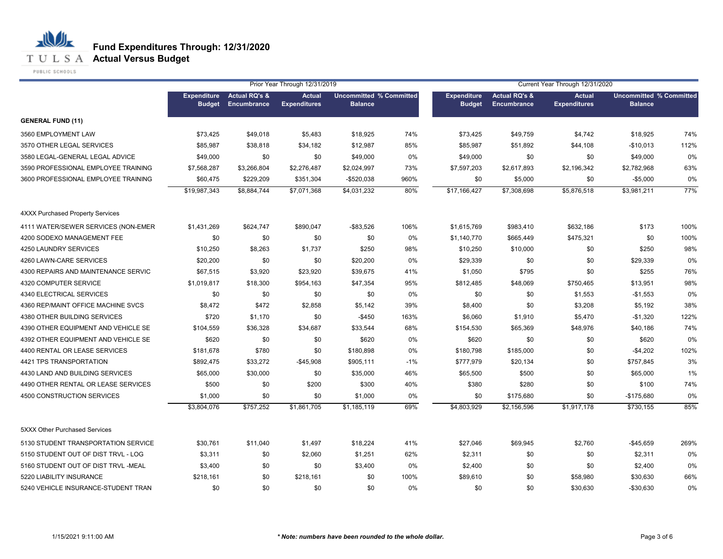**T U L S A Actual Versus Budget** 

PUBLIC SCHOOLS

|                                     |                                     |                                         | Prior Year Through 12/31/2019        |                                                  |       |                                     |                                                | Current Year Through 12/31/2020      |                                                  |      |
|-------------------------------------|-------------------------------------|-----------------------------------------|--------------------------------------|--------------------------------------------------|-------|-------------------------------------|------------------------------------------------|--------------------------------------|--------------------------------------------------|------|
|                                     | <b>Expenditure</b><br><b>Budget</b> | <b>Actual RQ's &amp;</b><br>Encumbrance | <b>Actual</b><br><b>Expenditures</b> | <b>Uncommitted % Committed</b><br><b>Balance</b> |       | <b>Expenditure</b><br><b>Budget</b> | <b>Actual RQ's &amp;</b><br><b>Encumbrance</b> | <b>Actual</b><br><b>Expenditures</b> | <b>Uncommitted % Committed</b><br><b>Balance</b> |      |
| <b>GENERAL FUND (11)</b>            |                                     |                                         |                                      |                                                  |       |                                     |                                                |                                      |                                                  |      |
| 3560 EMPLOYMENT LAW                 | \$73,425                            | \$49,018                                | \$5,483                              | \$18,925                                         | 74%   | \$73,425                            | \$49,759                                       | \$4,742                              | \$18,925                                         | 74%  |
| 3570 OTHER LEGAL SERVICES           | \$85,987                            | \$38,818                                | \$34,182                             | \$12,987                                         | 85%   | \$85,987                            | \$51,892                                       | \$44,108                             | $-$10,013$                                       | 112% |
| 3580 LEGAL-GENERAL LEGAL ADVICE     | \$49,000                            | \$0                                     | \$0                                  | \$49,000                                         | 0%    | \$49,000                            | \$0                                            | \$0                                  | \$49,000                                         | 0%   |
| 3590 PROFESSIONAL EMPLOYEE TRAINING | \$7,568,287                         | \$3,266,804                             | \$2,276,487                          | \$2,024,997                                      | 73%   | \$7,597,203                         | \$2,617,893                                    | \$2,196,342                          | \$2,782,968                                      | 63%  |
| 3600 PROFESSIONAL EMPLOYEE TRAINING | \$60,475                            | \$229,209                               | \$351,304                            | $-$520,038$                                      | 960%  | \$0                                 | \$5,000                                        | \$0                                  | $-$5,000$                                        | 0%   |
|                                     | \$19,987,343                        | \$8,884,744                             | \$7,071,368                          | \$4,031,232                                      | 80%   | \$17,166,427                        | \$7,308,698                                    | \$5,876,518                          | \$3,981,211                                      | 77%  |
| 4XXX Purchased Property Services    |                                     |                                         |                                      |                                                  |       |                                     |                                                |                                      |                                                  |      |
| 4111 WATER/SEWER SERVICES (NON-EMER | \$1,431,269                         | \$624,747                               | \$890,047                            | $-$ \$83,526                                     | 106%  | \$1,615,769                         | \$983,410                                      | \$632,186                            | \$173                                            | 100% |
| 4200 SODEXO MANAGEMENT FEE          | \$0                                 | \$0                                     | \$0                                  | \$0                                              | 0%    | \$1,140,770                         | \$665,449                                      | \$475,321                            | \$0                                              | 100% |
| 4250 LAUNDRY SERVICES               | \$10,250                            | \$8,263                                 | \$1,737                              | \$250                                            | 98%   | \$10,250                            | \$10,000                                       | \$0                                  | \$250                                            | 98%  |
| 4260 LAWN-CARE SERVICES             | \$20,200                            | \$0                                     | \$0                                  | \$20,200                                         | 0%    | \$29,339                            | \$0                                            | \$0                                  | \$29,339                                         | 0%   |
| 4300 REPAIRS AND MAINTENANCE SERVIC | \$67,515                            | \$3,920                                 | \$23,920                             | \$39,675                                         | 41%   | \$1,050                             | \$795                                          | \$0                                  | \$255                                            | 76%  |
| 4320 COMPUTER SERVICE               | \$1,019,817                         | \$18,300                                | \$954,163                            | \$47,354                                         | 95%   | \$812,485                           | \$48,069                                       | \$750,465                            | \$13,951                                         | 98%  |
| 4340 ELECTRICAL SERVICES            | \$0                                 | \$0                                     | \$0                                  | \$0                                              | 0%    | \$0                                 | \$0                                            | \$1,553                              | $-$1,553$                                        | 0%   |
| 4360 REP/MAINT OFFICE MACHINE SVCS  | \$8,472                             | \$472                                   | \$2,858                              | \$5,142                                          | 39%   | \$8,400                             | \$0                                            | \$3,208                              | \$5,192                                          | 38%  |
| 4380 OTHER BUILDING SERVICES        | \$720                               | \$1,170                                 | \$0                                  | $-$450$                                          | 163%  | \$6,060                             | \$1,910                                        | \$5,470                              | $-$1,320$                                        | 122% |
| 4390 OTHER EQUIPMENT AND VEHICLE SE | \$104,559                           | \$36,328                                | \$34,687                             | \$33,544                                         | 68%   | \$154,530                           | \$65,369                                       | \$48,976                             | \$40,186                                         | 74%  |
| 4392 OTHER EQUIPMENT AND VEHICLE SE | \$620                               | \$0                                     | \$0                                  | \$620                                            | 0%    | \$620                               | \$0                                            | \$0                                  | \$620                                            | 0%   |
| 4400 RENTAL OR LEASE SERVICES       | \$181,678                           | \$780                                   | \$0                                  | \$180,898                                        | 0%    | \$180,798                           | \$185,000                                      | \$0                                  | $-$4,202$                                        | 102% |
| 4421 TPS TRANSPORTATION             | \$892,475                           | \$33,272                                | $-$45,908$                           | \$905,111                                        | $-1%$ | \$777,979                           | \$20,134                                       | \$0                                  | \$757,845                                        | 3%   |
| 4430 LAND AND BUILDING SERVICES     | \$65,000                            | \$30,000                                | \$0                                  | \$35,000                                         | 46%   | \$65,500                            | \$500                                          | \$0                                  | \$65,000                                         | 1%   |
| 4490 OTHER RENTAL OR LEASE SERVICES | \$500                               | \$0                                     | \$200                                | \$300                                            | 40%   | \$380                               | \$280                                          | \$0                                  | \$100                                            | 74%  |
| 4500 CONSTRUCTION SERVICES          | \$1,000                             | \$0                                     | \$0                                  | \$1,000                                          | 0%    | \$0                                 | \$175,680                                      | \$0                                  | $-$175,680$                                      | 0%   |
|                                     | \$3,804,076                         | \$757,252                               | \$1,861,705                          | \$1,185,119                                      | 69%   | \$4,803,929                         | \$2,156,596                                    | \$1,917,178                          | \$730,155                                        | 85%  |
| 5XXX Other Purchased Services       |                                     |                                         |                                      |                                                  |       |                                     |                                                |                                      |                                                  |      |
| 5130 STUDENT TRANSPORTATION SERVICE | \$30,761                            | \$11,040                                | \$1,497                              | \$18,224                                         | 41%   | \$27,046                            | \$69,945                                       | \$2,760                              | $-$45,659$                                       | 269% |
| 5150 STUDENT OUT OF DIST TRVL - LOG | \$3,311                             | \$0                                     | \$2,060                              | \$1,251                                          | 62%   | \$2,311                             | \$0                                            | \$0                                  | \$2,311                                          | 0%   |
| 5160 STUDENT OUT OF DIST TRVL -MEAL | \$3,400                             | \$0                                     | \$0                                  | \$3,400                                          | 0%    | \$2,400                             | \$0                                            | \$0                                  | \$2,400                                          | 0%   |
| 5220 LIABILITY INSURANCE            | \$218,161                           | \$0                                     | \$218,161                            | \$0                                              | 100%  | \$89,610                            | \$0                                            | \$58,980                             | \$30,630                                         | 66%  |
| 5240 VEHICLE INSURANCE-STUDENT TRAN | \$0                                 | \$0                                     | \$0                                  | \$0                                              | 0%    | \$0                                 | \$0                                            | \$30,630                             | $-$30,630$                                       | 0%   |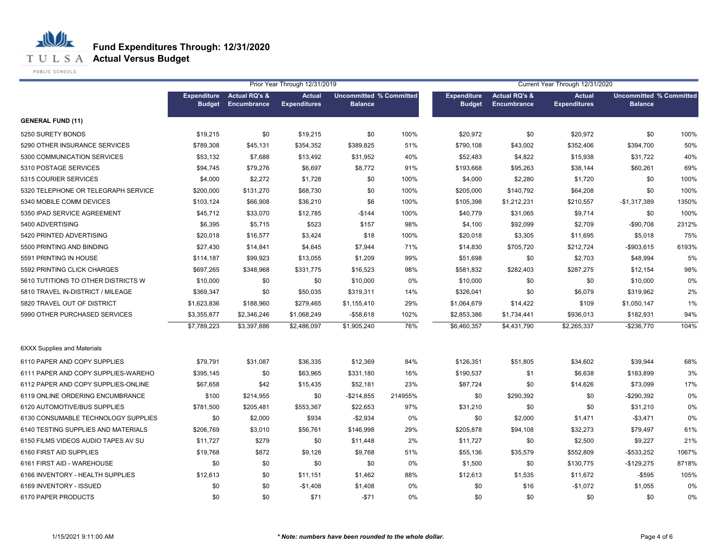**T U L S A Actual Versus Budget** 

PUBLIC SCHOOLS

|                                     |                                     |                                         | Prior Year Through 12/31/2019        |                                                  |         | Current Year Through 12/31/2020     |                                                |                                      |                                                  |       |
|-------------------------------------|-------------------------------------|-----------------------------------------|--------------------------------------|--------------------------------------------------|---------|-------------------------------------|------------------------------------------------|--------------------------------------|--------------------------------------------------|-------|
|                                     | <b>Expenditure</b><br><b>Budget</b> | <b>Actual RQ's &amp;</b><br>Encumbrance | <b>Actual</b><br><b>Expenditures</b> | <b>Uncommitted % Committed</b><br><b>Balance</b> |         | <b>Expenditure</b><br><b>Budget</b> | <b>Actual RQ's &amp;</b><br><b>Encumbrance</b> | <b>Actual</b><br><b>Expenditures</b> | <b>Uncommitted % Committed</b><br><b>Balance</b> |       |
| <b>GENERAL FUND (11)</b>            |                                     |                                         |                                      |                                                  |         |                                     |                                                |                                      |                                                  |       |
| 5250 SURETY BONDS                   | \$19,215                            | \$0                                     | \$19,215                             | \$0                                              | 100%    | \$20,972                            | \$0                                            | \$20,972                             | \$0                                              | 100%  |
| 5290 OTHER INSURANCE SERVICES       | \$789,308                           | \$45,131                                | \$354,352                            | \$389,825                                        | 51%     | \$790,108                           | \$43,002                                       | \$352,406                            | \$394,700                                        | 50%   |
| 5300 COMMUNICATION SERVICES         | \$53,132                            | \$7,688                                 | \$13,492                             | \$31,952                                         | 40%     | \$52,483                            | \$4,822                                        | \$15,938                             | \$31,722                                         | 40%   |
| 5310 POSTAGE SERVICES               | \$94,745                            | \$79,276                                | \$6,697                              | \$8,772                                          | 91%     | \$193,668                           | \$95,263                                       | \$38,144                             | \$60,261                                         | 69%   |
| 5315 COURIER SERVICES               | \$4,000                             | \$2,272                                 | \$1,728                              | \$0                                              | 100%    | \$4,000                             | \$2,280                                        | \$1,720                              | \$0                                              | 100%  |
| 5320 TELEPHONE OR TELEGRAPH SERVICE | \$200,000                           | \$131,270                               | \$68,730                             | \$0                                              | 100%    | \$205,000                           | \$140,792                                      | \$64,208                             | \$0                                              | 100%  |
| 5340 MOBILE COMM DEVICES            | \$103,124                           | \$66,908                                | \$36,210                             | \$6                                              | 100%    | \$105,398                           | \$1,212,231                                    | \$210,557                            | $-$1,317,389$                                    | 1350% |
| 5350 IPAD SERVICE AGREEMENT         | \$45,712                            | \$33,070                                | \$12,785                             | $-$144$                                          | 100%    | \$40,779                            | \$31,065                                       | \$9,714                              | \$0                                              | 100%  |
| 5400 ADVERTISING                    | \$6,395                             | \$5,715                                 | \$523                                | \$157                                            | 98%     | \$4,100                             | \$92,099                                       | \$2,709                              | $-$90,708$                                       | 2312% |
| 5420 PRINTED ADVERTISING            | \$20,018                            | \$16,577                                | \$3,424                              | \$18                                             | 100%    | \$20,018                            | \$3,305                                        | \$11,695                             | \$5,018                                          | 75%   |
| 5500 PRINTING AND BINDING           | \$27,430                            | \$14,841                                | \$4,645                              | \$7,944                                          | 71%     | \$14,830                            | \$705,720                                      | \$212,724                            | -\$903,615                                       | 6193% |
| 5591 PRINTING IN HOUSE              | \$114,187                           | \$99,923                                | \$13,055                             | \$1,209                                          | 99%     | \$51,698                            | \$0                                            | \$2,703                              | \$48,994                                         | 5%    |
| 5592 PRINTING CLICK CHARGES         | \$697.265                           | \$348,968                               | \$331,775                            | \$16,523                                         | 98%     | \$581,832                           | \$282,403                                      | \$287,275                            | \$12,154                                         | 98%   |
| 5610 TUTITIONS TO OTHER DISTRICTS W | \$10,000                            | \$0                                     | \$0                                  | \$10,000                                         | 0%      | \$10,000                            | \$0                                            | \$0                                  | \$10,000                                         | 0%    |
| 5810 TRAVEL IN-DISTRICT / MILEAGE   | \$369,347                           | \$0                                     | \$50,035                             | \$319,311                                        | 14%     | \$326,041                           | \$0                                            | \$6,079                              | \$319.962                                        | 2%    |
| 5820 TRAVEL OUT OF DISTRICT         | \$1,623,836                         | \$188,960                               | \$279,465                            | \$1,155,410                                      | 29%     | \$1,064,679                         | \$14,422                                       | \$109                                | \$1,050,147                                      | 1%    |
| 5990 OTHER PURCHASED SERVICES       | \$3,355,877                         | \$2,346,246                             | \$1,068,249                          | $-$58,618$                                       | 102%    | \$2,853,386                         | \$1,734,441                                    | \$936,013                            | \$182,931                                        | 94%   |
|                                     | \$7,789,223                         | \$3,397,886                             | \$2,486,097                          | \$1,905,240                                      | 76%     | \$6,460,357                         | \$4,431,790                                    | \$2,265,337                          | $-$236,770$                                      | 104%  |
| <b>6XXX Supplies and Materials</b>  |                                     |                                         |                                      |                                                  |         |                                     |                                                |                                      |                                                  |       |
| 6110 PAPER AND COPY SUPPLIES        | \$79,791                            | \$31,087                                | \$36,335                             | \$12,369                                         | 84%     | \$126,351                           | \$51,805                                       | \$34,602                             | \$39,944                                         | 68%   |
| 6111 PAPER AND COPY SUPPLIES-WAREHO | \$395,145                           | \$0                                     | \$63,965                             | \$331,180                                        | 16%     | \$190,537                           | \$1                                            | \$6,638                              | \$183,899                                        | 3%    |
| 6112 PAPER AND COPY SUPPLIES-ONLINE | \$67,658                            | \$42                                    | \$15,435                             | \$52,181                                         | 23%     | \$87,724                            | \$0                                            | \$14,626                             | \$73,099                                         | 17%   |
| 6119 ONLINE ORDERING ENCUMBRANCE    | \$100                               | \$214,955                               | \$0                                  | $-$214,855$                                      | 214955% | \$0                                 | \$290,392                                      | \$0                                  | -\$290,392                                       | 0%    |
| 6120 AUTOMOTIVE/BUS SUPPLIES        | \$781,500                           | \$205,481                               | \$553,367                            | \$22,653                                         | 97%     | \$31,210                            | \$0                                            | \$0                                  | \$31,210                                         | 0%    |
| 6130 CONSUMABLE TECHNOLOGY SUPPLIES | \$0                                 | \$2,000                                 | \$934                                | $-$2,934$                                        | 0%      | \$0                                 | \$2,000                                        | \$1,471                              | $-$3,471$                                        | 0%    |
| 6140 TESTING SUPPLIES AND MATERIALS | \$206,769                           | \$3,010                                 | \$56,761                             | \$146,998                                        | 29%     | \$205,878                           | \$94,108                                       | \$32,273                             | \$79,497                                         | 61%   |
| 6150 FILMS VIDEOS AUDIO TAPES AV SU | \$11,727                            | \$279                                   | \$0                                  | \$11,448                                         | 2%      | \$11,727                            | \$0                                            | \$2,500                              | \$9,227                                          | 21%   |
| 6160 FIRST AID SUPPLIES             | \$19,768                            | \$872                                   | \$9,128                              | \$9,768                                          | 51%     | \$55,136                            | \$35,579                                       | \$552,809                            | $-$533,252$                                      | 1067% |
| 6161 FIRST AID - WAREHOUSE          | \$0                                 | \$0                                     | \$0                                  | \$0                                              | 0%      | \$1,500                             | \$0                                            | \$130,775                            | $-$129,275$                                      | 8718% |
| 6166 INVENTORY - HEALTH SUPPLIES    | \$12,613                            | \$0                                     | \$11,151                             | \$1,462                                          | 88%     | \$12,613                            | \$1,535                                        | \$11,672                             | $-$ \$595                                        | 105%  |
| 6169 INVENTORY - ISSUED             | \$0                                 | \$0                                     | $-$1,408$                            | \$1,408                                          | 0%      | \$0                                 | \$16                                           | $-$1,072$                            | \$1,055                                          | 0%    |
| 6170 PAPER PRODUCTS                 | \$0                                 | \$0                                     | \$71                                 | $-$71$                                           | 0%      | \$0                                 | \$0                                            | \$0                                  | \$0                                              | 0%    |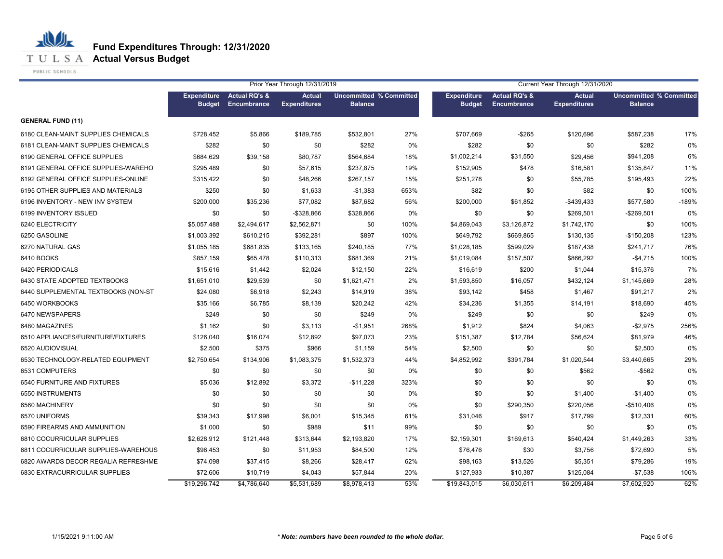**T U L S A Actual Versus Budget** 

PUBLIC SCHOOLS

|                                     |                                     |                                         | Prior Year Through 12/31/2019        |                                                  |      | Current Year Through 12/31/2020     |                                                |                                      |                                                  |         |
|-------------------------------------|-------------------------------------|-----------------------------------------|--------------------------------------|--------------------------------------------------|------|-------------------------------------|------------------------------------------------|--------------------------------------|--------------------------------------------------|---------|
|                                     | <b>Expenditure</b><br><b>Budget</b> | <b>Actual RQ's &amp;</b><br>Encumbrance | <b>Actual</b><br><b>Expenditures</b> | <b>Uncommitted % Committed</b><br><b>Balance</b> |      | <b>Expenditure</b><br><b>Budget</b> | <b>Actual RQ's &amp;</b><br><b>Encumbrance</b> | <b>Actual</b><br><b>Expenditures</b> | <b>Uncommitted % Committed</b><br><b>Balance</b> |         |
| <b>GENERAL FUND (11)</b>            |                                     |                                         |                                      |                                                  |      |                                     |                                                |                                      |                                                  |         |
| 6180 CLEAN-MAINT SUPPLIES CHEMICALS | \$728,452                           | \$5,866                                 | \$189,785                            | \$532,801                                        | 27%  | \$707,669                           | $-$265$                                        | \$120,696                            | \$587,238                                        | 17%     |
| 6181 CLEAN-MAINT SUPPLIES CHEMICALS | \$282                               | \$0                                     | \$0                                  | \$282                                            | 0%   | \$282                               | \$0                                            | \$0                                  | \$282                                            | 0%      |
| 6190 GENERAL OFFICE SUPPLIES        | \$684,629                           | \$39,158                                | \$80,787                             | \$564,684                                        | 18%  | \$1,002,214                         | \$31,550                                       | \$29,456                             | \$941,208                                        | 6%      |
| 6191 GENERAL OFFICE SUPPLIES-WAREHO | \$295,489                           | \$0                                     | \$57,615                             | \$237,875                                        | 19%  | \$152,905                           | \$478                                          | \$16,581                             | \$135,847                                        | 11%     |
| 6192 GENERAL OFFICE SUPPLIES-ONLINE | \$315,422                           | \$0                                     | \$48,266                             | \$267,157                                        | 15%  | \$251,278                           | \$0                                            | \$55,785                             | \$195,493                                        | 22%     |
| 6195 OTHER SUPPLIES AND MATERIALS   | \$250                               | \$0                                     | \$1,633                              | $-$1,383$                                        | 653% | \$82                                | \$0                                            | \$82                                 | \$0                                              | 100%    |
| 6196 INVENTORY - NEW INV SYSTEM     | \$200,000                           | \$35,236                                | \$77,082                             | \$87,682                                         | 56%  | \$200,000                           | \$61,852                                       | $-$439,433$                          | \$577,580                                        | $-189%$ |
| 6199 INVENTORY ISSUED               | \$0                                 | \$0                                     | -\$328,866                           | \$328,866                                        | 0%   | \$0                                 | \$0                                            | \$269,501                            | $-$269,501$                                      | 0%      |
| 6240 ELECTRICITY                    | \$5,057,488                         | \$2,494,617                             | \$2,562,871                          | \$0                                              | 100% | \$4,869,043                         | \$3,126,872                                    | \$1,742,170                          | \$0                                              | 100%    |
| 6250 GASOLINE                       | \$1,003,392                         | \$610,215                               | \$392,281                            | \$897                                            | 100% | \$649,792                           | \$669,865                                      | \$130,135                            | $-$150,208$                                      | 123%    |
| 6270 NATURAL GAS                    | \$1,055,185                         | \$681,835                               | \$133,165                            | \$240,185                                        | 77%  | \$1,028,185                         | \$599,029                                      | \$187,438                            | \$241,717                                        | 76%     |
| 6410 BOOKS                          | \$857,159                           | \$65,478                                | \$110,313                            | \$681,369                                        | 21%  | \$1,019,084                         | \$157,507                                      | \$866,292                            | $-$4,715$                                        | 100%    |
| 6420 PERIODICALS                    | \$15,616                            | \$1,442                                 | \$2,024                              | \$12,150                                         | 22%  | \$16,619                            | \$200                                          | \$1,044                              | \$15,376                                         | 7%      |
| 6430 STATE ADOPTED TEXTBOOKS        | \$1,651,010                         | \$29,539                                | \$0                                  | \$1,621,471                                      | 2%   | \$1,593,850                         | \$16,057                                       | \$432,124                            | \$1,145,669                                      | 28%     |
| 6440 SUPPLEMENTAL TEXTBOOKS (NON-ST | \$24,080                            | \$6,918                                 | \$2,243                              | \$14,919                                         | 38%  | \$93,142                            | \$458                                          | \$1,467                              | \$91,217                                         | 2%      |
| 6450 WORKBOOKS                      | \$35,166                            | \$6,785                                 | \$8,139                              | \$20,242                                         | 42%  | \$34,236                            | \$1,355                                        | \$14,191                             | \$18,690                                         | 45%     |
| 6470 NEWSPAPERS                     | \$249                               | \$0                                     | \$0                                  | \$249                                            | 0%   | \$249                               | \$0                                            | \$0                                  | \$249                                            | 0%      |
| 6480 MAGAZINES                      | \$1,162                             | \$0                                     | \$3,113                              | $-$1,951$                                        | 268% | \$1,912                             | \$824                                          | \$4,063                              | $-$2,975$                                        | 256%    |
| 6510 APPLIANCES/FURNITURE/FIXTURES  | \$126,040                           | \$16,074                                | \$12,892                             | \$97,073                                         | 23%  | \$151,387                           | \$12,784                                       | \$56,624                             | \$81,979                                         | 46%     |
| 6520 AUDIOVISUAL                    | \$2,500                             | \$375                                   | \$966                                | \$1,159                                          | 54%  | \$2,500                             | \$0                                            | \$0                                  | \$2,500                                          | 0%      |
| 6530 TECHNOLOGY-RELATED EQUIPMENT   | \$2,750,654                         | \$134,906                               | \$1,083,375                          | \$1,532,373                                      | 44%  | \$4,852,992                         | \$391,784                                      | \$1,020,544                          | \$3,440,665                                      | 29%     |
| 6531 COMPUTERS                      | \$0                                 | \$0                                     | \$0                                  | \$0                                              | 0%   | \$0                                 | \$0                                            | \$562                                | $-$562$                                          | 0%      |
| 6540 FURNITURE AND FIXTURES         | \$5,036                             | \$12,892                                | \$3,372                              | $-$11,228$                                       | 323% | \$0                                 | \$0                                            | \$0                                  | \$0                                              | 0%      |
| 6550 INSTRUMENTS                    | \$0                                 | \$0                                     | \$0                                  | \$0                                              | 0%   | \$0                                 | \$0                                            | \$1,400                              | -\$1,400                                         | 0%      |
| 6560 MACHINERY                      | \$0                                 | \$0                                     | \$0                                  | \$0                                              | 0%   | \$0                                 | \$290,350                                      | \$220,056                            | $-$510,406$                                      | 0%      |
| 6570 UNIFORMS                       | \$39,343                            | \$17,998                                | \$6,001                              | \$15,345                                         | 61%  | \$31,046                            | \$917                                          | \$17,799                             | \$12,331                                         | 60%     |
| 6590 FIREARMS AND AMMUNITION        | \$1,000                             | \$0                                     | \$989                                | \$11                                             | 99%  | \$0                                 | \$0                                            | \$0                                  | \$0                                              | 0%      |
| 6810 COCURRICULAR SUPPLIES          | \$2,628,912                         | \$121,448                               | \$313,644                            | \$2,193,820                                      | 17%  | \$2,159,301                         | \$169,613                                      | \$540,424                            | \$1,449,263                                      | 33%     |
| 6811 COCURRICULAR SUPPLIES-WAREHOUS | \$96,453                            | \$0                                     | \$11,953                             | \$84,500                                         | 12%  | \$76,476                            | \$30                                           | \$3,756                              | \$72,690                                         | 5%      |
| 6820 AWARDS DECOR REGALIA REFRESHME | \$74,098                            | \$37,415                                | \$8,266                              | \$28,417                                         | 62%  | \$98,163                            | \$13,526                                       | \$5,351                              | \$79,286                                         | 19%     |
| 6830 EXTRACURRICULAR SUPPLIES       | \$72,606                            | \$10,719                                | \$4,043                              | \$57,844                                         | 20%  | \$127,933                           | \$10,387                                       | \$125,084                            | $-$7,538$                                        | 106%    |
|                                     | \$19,296,742                        | \$4,786,640                             | \$5,531,689                          | \$8,978,413                                      | 53%  | \$19,843,015                        | \$6,030,611                                    | \$6,209,484                          | \$7,602,920                                      | 62%     |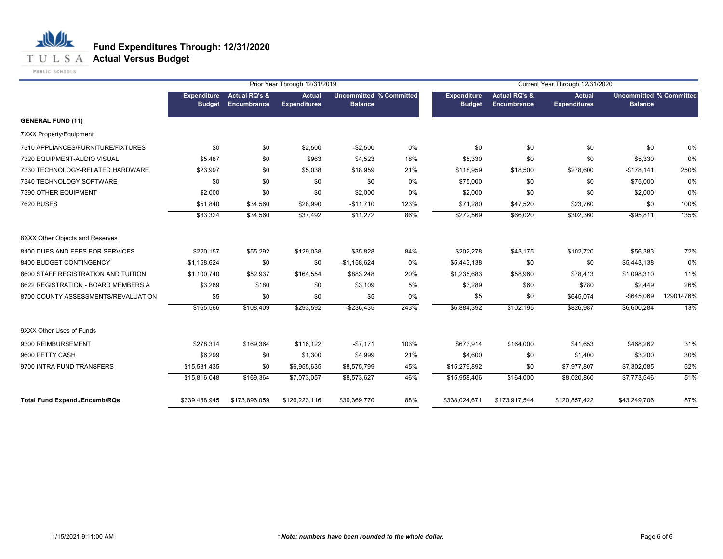## **T U L S A Actual Versus Budget**

PUBLIC SCHOOLS

|                                      |                                     |                                         | Prior Year Through 12/31/2019        |                                                  |      | Current Year Through 12/31/2020 |                                         |                                      |                                                  |           |  |
|--------------------------------------|-------------------------------------|-----------------------------------------|--------------------------------------|--------------------------------------------------|------|---------------------------------|-----------------------------------------|--------------------------------------|--------------------------------------------------|-----------|--|
|                                      | <b>Expenditure</b><br><b>Budget</b> | <b>Actual RQ's &amp;</b><br>Encumbrance | <b>Actual</b><br><b>Expenditures</b> | <b>Uncommitted % Committed</b><br><b>Balance</b> |      | Expenditure<br><b>Budget</b>    | <b>Actual RQ's &amp;</b><br>Encumbrance | <b>Actual</b><br><b>Expenditures</b> | <b>Uncommitted % Committed</b><br><b>Balance</b> |           |  |
| <b>GENERAL FUND (11)</b>             |                                     |                                         |                                      |                                                  |      |                                 |                                         |                                      |                                                  |           |  |
| 7XXX Property/Equipment              |                                     |                                         |                                      |                                                  |      |                                 |                                         |                                      |                                                  |           |  |
| 7310 APPLIANCES/FURNITURE/FIXTURES   | \$0                                 | \$0                                     | \$2,500                              | $-$2,500$                                        | 0%   | \$0                             | \$0                                     | \$0                                  | \$0                                              | 0%        |  |
| 7320 EQUIPMENT-AUDIO VISUAL          | \$5,487                             | \$0                                     | \$963                                | \$4,523                                          | 18%  | \$5,330                         | \$0                                     | \$0                                  | \$5,330                                          | 0%        |  |
| 7330 TECHNOLOGY-RELATED HARDWARE     | \$23,997                            | \$0                                     | \$5,038                              | \$18,959                                         | 21%  | \$118,959                       | \$18,500                                | \$278,600                            | $-$178,141$                                      | 250%      |  |
| 7340 TECHNOLOGY SOFTWARE             | \$0                                 | \$0                                     | \$0                                  | \$0                                              | 0%   | \$75,000                        | \$0                                     | \$0                                  | \$75,000                                         | 0%        |  |
| 7390 OTHER EQUIPMENT                 | \$2,000                             | \$0                                     | \$0                                  | \$2,000                                          | 0%   | \$2,000                         | \$0                                     | \$0                                  | \$2,000                                          | 0%        |  |
| <b>7620 BUSES</b>                    | \$51,840                            | \$34,560                                | \$28,990                             | $-$11,710$                                       | 123% | \$71,280                        | \$47,520                                | \$23,760                             | \$0                                              | 100%      |  |
|                                      | \$83,324                            | \$34,560                                | \$37,492                             | \$11,272                                         | 86%  | \$272,569                       | \$66,020                                | \$302,360                            | $-$95,811$                                       | 135%      |  |
| 8XXX Other Objects and Reserves      |                                     |                                         |                                      |                                                  |      |                                 |                                         |                                      |                                                  |           |  |
| 8100 DUES AND FEES FOR SERVICES      | \$220,157                           | \$55,292                                | \$129,038                            | \$35,828                                         | 84%  | \$202,278                       | \$43,175                                | \$102,720                            | \$56,383                                         | 72%       |  |
| 8400 BUDGET CONTINGENCY              | $-$1,158,624$                       | \$0                                     | \$0                                  | $-$1,158,624$                                    | 0%   | \$5,443,138                     | \$0                                     | \$0                                  | \$5,443,138                                      | 0%        |  |
| 8600 STAFF REGISTRATION AND TUITION  | \$1,100,740                         | \$52,937                                | \$164,554                            | \$883,248                                        | 20%  | \$1,235,683                     | \$58,960                                | \$78,413                             | \$1,098,310                                      | 11%       |  |
| 8622 REGISTRATION - BOARD MEMBERS A  | \$3,289                             | \$180                                   | \$0                                  | \$3,109                                          | 5%   | \$3,289                         | \$60                                    | \$780                                | \$2,449                                          | 26%       |  |
| 8700 COUNTY ASSESSMENTS/REVALUATION  | \$5                                 | \$0                                     | \$0                                  | \$5                                              | 0%   | \$5                             | \$0                                     | \$645,074                            | $-$645,069$                                      | 12901476% |  |
|                                      | \$165,566                           | \$108,409                               | \$293,592                            | $-$236,435$                                      | 243% | \$6,884,392                     | \$102,195                               | \$826,987                            | \$6,600,284                                      | 13%       |  |
| 9XXX Other Uses of Funds             |                                     |                                         |                                      |                                                  |      |                                 |                                         |                                      |                                                  |           |  |
| 9300 REIMBURSEMENT                   | \$278,314                           | \$169,364                               | \$116,122                            | $-$7,171$                                        | 103% | \$673,914                       | \$164,000                               | \$41,653                             | \$468,262                                        | 31%       |  |
| 9600 PETTY CASH                      | \$6,299                             | \$0                                     | \$1,300                              | \$4,999                                          | 21%  | \$4,600                         | \$0                                     | \$1,400                              | \$3,200                                          | 30%       |  |
| 9700 INTRA FUND TRANSFERS            | \$15,531,435                        | \$0                                     | \$6,955,635                          | \$8,575,799                                      | 45%  | \$15,279,892                    | \$0                                     | \$7,977,807                          | \$7,302,085                                      | 52%       |  |
|                                      | \$15,816,048                        | \$169,364                               | \$7,073,057                          | \$8,573,627                                      | 46%  | \$15,958,406                    | \$164,000                               | \$8,020,860                          | \$7,773,546                                      | 51%       |  |
| <b>Total Fund Expend./Encumb/RQs</b> | \$339,488,945                       | \$173,896,059                           | \$126,223,116                        | \$39,369,770                                     | 88%  | \$338,024,671                   | \$173,917,544                           | \$120,857,422                        | \$43,249,706                                     | 87%       |  |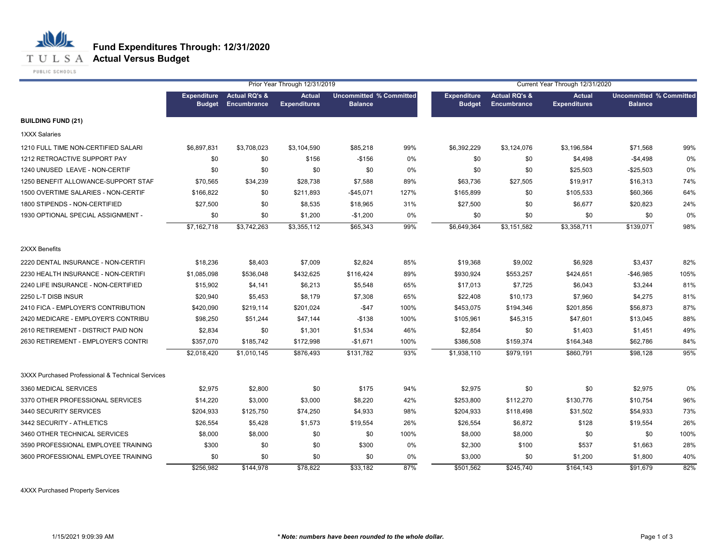

**T U L S A Actual Versus Budget** 

PUBLIC SCHOOLS

心儿

|                                                  |                                     |                                         | Prior Year Through 12/31/2019        |                                                  |       | Current Year Through 12/31/2020     |                                                |                                      |                                                  |      |
|--------------------------------------------------|-------------------------------------|-----------------------------------------|--------------------------------------|--------------------------------------------------|-------|-------------------------------------|------------------------------------------------|--------------------------------------|--------------------------------------------------|------|
|                                                  | <b>Expenditure</b><br><b>Budget</b> | <b>Actual RQ's &amp;</b><br>Encumbrance | <b>Actual</b><br><b>Expenditures</b> | <b>Uncommitted % Committed</b><br><b>Balance</b> |       | <b>Expenditure</b><br><b>Budget</b> | <b>Actual RQ's &amp;</b><br><b>Encumbrance</b> | <b>Actual</b><br><b>Expenditures</b> | <b>Uncommitted % Committed</b><br><b>Balance</b> |      |
| <b>BUILDING FUND (21)</b>                        |                                     |                                         |                                      |                                                  |       |                                     |                                                |                                      |                                                  |      |
| <b>1XXX Salaries</b>                             |                                     |                                         |                                      |                                                  |       |                                     |                                                |                                      |                                                  |      |
| 1210 FULL TIME NON-CERTIFIED SALARI              | \$6,897,831                         | \$3,708,023                             | \$3,104,590                          | \$85,218                                         | 99%   | \$6,392,229                         | \$3,124,076                                    | \$3,196,584                          | \$71,568                                         | 99%  |
| 1212 RETROACTIVE SUPPORT PAY                     | \$0                                 | \$0                                     | \$156                                | $-$156$                                          | $0\%$ | \$0                                 | \$0                                            | \$4,498                              | $-$4,498$                                        | 0%   |
| 1240 UNUSED LEAVE - NON-CERTIF                   | \$0                                 | \$0                                     | \$0                                  | \$0                                              | 0%    | \$0                                 | \$0                                            | \$25,503                             | $-$25,503$                                       | 0%   |
| 1250 BENEFIT ALLOWANCE-SUPPORT STAF              | \$70,565                            | \$34,239                                | \$28,738                             | \$7,588                                          | 89%   | \$63,736                            | \$27,505                                       | \$19,917                             | \$16,313                                         | 74%  |
| 1500 OVERTIME SALARIES - NON-CERTIF              | \$166.822                           | \$0                                     | \$211,893                            | $-$45,071$                                       | 127%  | \$165,899                           | \$0                                            | \$105,533                            | \$60,366                                         | 64%  |
| 1800 STIPENDS - NON-CERTIFIED                    | \$27,500                            | \$0                                     | \$8,535                              | \$18,965                                         | 31%   | \$27,500                            | \$0                                            | \$6,677                              | \$20,823                                         | 24%  |
| 1930 OPTIONAL SPECIAL ASSIGNMENT -               | \$0                                 | \$0                                     | \$1,200                              | $-$1,200$                                        | 0%    | \$0                                 | \$0                                            | \$0                                  | \$0                                              | 0%   |
|                                                  | \$7,162,718                         | \$3,742,263                             | \$3,355,112                          | \$65,343                                         | 99%   | \$6,649,364                         | \$3,151,582                                    | \$3,358,711                          | \$139,071                                        | 98%  |
| 2XXX Benefits                                    |                                     |                                         |                                      |                                                  |       |                                     |                                                |                                      |                                                  |      |
| 2220 DENTAL INSURANCE - NON-CERTIFI              | \$18,236                            | \$8,403                                 | \$7,009                              | \$2,824                                          | 85%   | \$19,368                            | \$9,002                                        | \$6,928                              | \$3,437                                          | 82%  |
| 2230 HEALTH INSURANCE - NON-CERTIFI              | \$1,085,098                         | \$536,048                               | \$432,625                            | \$116,424                                        | 89%   | \$930,924                           | \$553,257                                      | \$424,651                            | -\$46,985                                        | 105% |
| 2240 LIFE INSURANCE - NON-CERTIFIED              | \$15,902                            | \$4,141                                 | \$6,213                              | \$5,548                                          | 65%   | \$17,013                            | \$7,725                                        | \$6,043                              | \$3,244                                          | 81%  |
| 2250 L-T DISB INSUR                              | \$20,940                            | \$5,453                                 | \$8,179                              | \$7,308                                          | 65%   | \$22,408                            | \$10,173                                       | \$7,960                              | \$4,275                                          | 81%  |
| 2410 FICA - EMPLOYER'S CONTRIBUTION              | \$420,090                           | \$219,114                               | \$201,024                            | $-$ \$47                                         | 100%  | \$453,075                           | \$194,346                                      | \$201,856                            | \$56,873                                         | 87%  |
| 2420 MEDICARE - EMPLOYER'S CONTRIBU              | \$98,250                            | \$51,244                                | \$47,144                             | $-$138$                                          | 100%  | \$105,961                           | \$45,315                                       | \$47,601                             | \$13,045                                         | 88%  |
| 2610 RETIREMENT - DISTRICT PAID NON              | \$2,834                             | \$0                                     | \$1,301                              | \$1,534                                          | 46%   | \$2,854                             | \$0                                            | \$1,403                              | \$1,451                                          | 49%  |
| 2630 RETIREMENT - EMPLOYER'S CONTRI              | \$357,070                           | \$185,742                               | \$172,998                            | $-$1,671$                                        | 100%  | \$386,508                           | \$159,374                                      | \$164,348                            | \$62,786                                         | 84%  |
|                                                  | \$2,018,420                         | \$1,010,145                             | \$876,493                            | \$131,782                                        | 93%   | \$1,938,110                         | \$979,191                                      | \$860,791                            | \$98,128                                         | 95%  |
| 3XXX Purchased Professional & Technical Services |                                     |                                         |                                      |                                                  |       |                                     |                                                |                                      |                                                  |      |
| 3360 MEDICAL SERVICES                            | \$2,975                             | \$2,800                                 | \$0                                  | \$175                                            | 94%   | \$2,975                             | \$0                                            | \$0                                  | \$2,975                                          | 0%   |
| 3370 OTHER PROFESSIONAL SERVICES                 | \$14,220                            | \$3,000                                 | \$3,000                              | \$8,220                                          | 42%   | \$253,800                           | \$112,270                                      | \$130,776                            | \$10,754                                         | 96%  |
| 3440 SECURITY SERVICES                           | \$204,933                           | \$125,750                               | \$74,250                             | \$4,933                                          | 98%   | \$204,933                           | \$118,498                                      | \$31,502                             | \$54,933                                         | 73%  |
| 3442 SECURITY - ATHLETICS                        | \$26,554                            | \$5,428                                 | \$1,573                              | \$19,554                                         | 26%   | \$26,554                            | \$6,872                                        | \$128                                | \$19,554                                         | 26%  |
| 3460 OTHER TECHNICAL SERVICES                    | \$8,000                             | \$8,000                                 | \$0                                  | \$0                                              | 100%  | \$8,000                             | \$8,000                                        | \$0                                  | \$0                                              | 100% |
| 3590 PROFESSIONAL EMPLOYEE TRAINING              | \$300                               | \$0                                     | \$0                                  | \$300                                            | $0\%$ | \$2,300                             | \$100                                          | \$537                                | \$1,663                                          | 28%  |
| 3600 PROFESSIONAL EMPLOYEE TRAINING              | \$0                                 | \$0                                     | \$0                                  | \$0                                              | 0%    | \$3,000                             | \$0                                            | \$1,200                              | \$1,800                                          | 40%  |
|                                                  | \$256,982                           | \$144,978                               | \$78,822                             | \$33,182                                         | 87%   | \$501,562                           | \$245,740                                      | \$164,143                            | \$91.679                                         | 82%  |

4XXX Purchased Property Services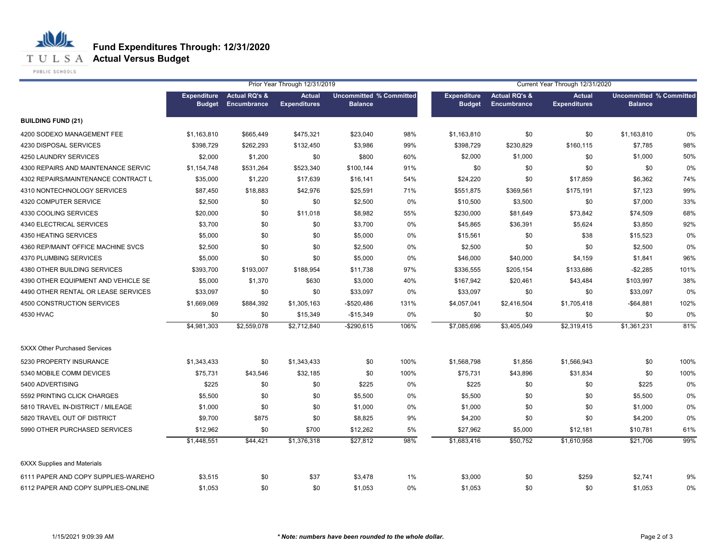**T U L S A Actual Versus Budget** 

PUBLIC SCHOOLS

|                                     |                                     |                                         | Prior Year Through 12/31/2019        |                                                  |      |                                     |                                         |                                      | Current Year Through 12/31/2020                  |      |  |  |
|-------------------------------------|-------------------------------------|-----------------------------------------|--------------------------------------|--------------------------------------------------|------|-------------------------------------|-----------------------------------------|--------------------------------------|--------------------------------------------------|------|--|--|
|                                     | <b>Expenditure</b><br><b>Budget</b> | <b>Actual RQ's &amp;</b><br>Encumbrance | <b>Actual</b><br><b>Expenditures</b> | <b>Uncommitted % Committed</b><br><b>Balance</b> |      | <b>Expenditure</b><br><b>Budget</b> | <b>Actual RQ's &amp;</b><br>Encumbrance | <b>Actual</b><br><b>Expenditures</b> | <b>Uncommitted % Committed</b><br><b>Balance</b> |      |  |  |
| <b>BUILDING FUND (21)</b>           |                                     |                                         |                                      |                                                  |      |                                     |                                         |                                      |                                                  |      |  |  |
| 4200 SODEXO MANAGEMENT FEE          | \$1,163,810                         | \$665,449                               | \$475,321                            | \$23,040                                         | 98%  | \$1,163,810                         | \$0                                     | \$0                                  | \$1,163,810                                      | 0%   |  |  |
| 4230 DISPOSAL SERVICES              | \$398,729                           | \$262,293                               | \$132,450                            | \$3,986                                          | 99%  | \$398,729                           | \$230,829                               | \$160,115                            | \$7,785                                          | 98%  |  |  |
| 4250 LAUNDRY SERVICES               | \$2,000                             | \$1,200                                 | \$0                                  | \$800                                            | 60%  | \$2,000                             | \$1,000                                 | \$0                                  | \$1,000                                          | 50%  |  |  |
| 4300 REPAIRS AND MAINTENANCE SERVIC | \$1,154,748                         | \$531,264                               | \$523,340                            | \$100,144                                        | 91%  | \$0                                 | \$0                                     | \$0                                  | \$0                                              | 0%   |  |  |
| 4302 REPAIRS/MAINTENANCE CONTRACT L | \$35,000                            | \$1,220                                 | \$17,639                             | \$16,141                                         | 54%  | \$24,220                            | \$0                                     | \$17,859                             | \$6,362                                          | 74%  |  |  |
| 4310 NONTECHNOLOGY SERVICES         | \$87,450                            | \$18,883                                | \$42,976                             | \$25,591                                         | 71%  | \$551,875                           | \$369,561                               | \$175,191                            | \$7,123                                          | 99%  |  |  |
| 4320 COMPUTER SERVICE               | \$2,500                             | \$0                                     | \$0                                  | \$2,500                                          | 0%   | \$10,500                            | \$3,500                                 | \$0                                  | \$7,000                                          | 33%  |  |  |
| 4330 COOLING SERVICES               | \$20,000                            | \$0                                     | \$11,018                             | \$8,982                                          | 55%  | \$230,000                           | \$81,649                                | \$73,842                             | \$74,509                                         | 68%  |  |  |
| 4340 ELECTRICAL SERVICES            | \$3,700                             | \$0                                     | \$0                                  | \$3,700                                          | 0%   | \$45,865                            | \$36,391                                | \$5,624                              | \$3,850                                          | 92%  |  |  |
| 4350 HEATING SERVICES               | \$5,000                             | \$0                                     | \$0                                  | \$5,000                                          | 0%   | \$15,561                            | \$0                                     | \$38                                 | \$15,523                                         | 0%   |  |  |
| 4360 REP/MAINT OFFICE MACHINE SVCS  | \$2,500                             | \$0                                     | \$0                                  | \$2,500                                          | 0%   | \$2,500                             | \$0                                     | \$0                                  | \$2,500                                          | 0%   |  |  |
| 4370 PLUMBING SERVICES              | \$5,000                             | \$0                                     | \$0                                  | \$5,000                                          | 0%   | \$46,000                            | \$40,000                                | \$4,159                              | \$1,841                                          | 96%  |  |  |
| 4380 OTHER BUILDING SERVICES        | \$393,700                           | \$193,007                               | \$188,954                            | \$11,738                                         | 97%  | \$336,555                           | \$205,154                               | \$133,686                            | $-$2,285$                                        | 101% |  |  |
| 4390 OTHER EQUIPMENT AND VEHICLE SE | \$5,000                             | \$1,370                                 | \$630                                | \$3,000                                          | 40%  | \$167,942                           | \$20,461                                | \$43,484                             | \$103,997                                        | 38%  |  |  |
| 4490 OTHER RENTAL OR LEASE SERVICES | \$33,097                            | \$0                                     | \$0                                  | \$33,097                                         | 0%   | \$33,097                            | \$0                                     | \$0                                  | \$33,097                                         | 0%   |  |  |
| 4500 CONSTRUCTION SERVICES          | \$1,669,069                         | \$884,392                               | \$1,305,163                          | $-$520,486$                                      | 131% | \$4,057,041                         | \$2,416,504                             | \$1,705,418                          | $-$ \$64,881                                     | 102% |  |  |
| 4530 HVAC                           | \$0                                 | \$0                                     | \$15,349                             | $-$15,349$                                       | 0%   | \$0                                 | \$0                                     | \$0                                  | \$0                                              | 0%   |  |  |
|                                     | \$4,981,303                         | \$2,559,078                             | \$2,712,840                          | $-$290,615$                                      | 106% | \$7,085,696                         | \$3,405,049                             | \$2,319,415                          | \$1,361,231                                      | 81%  |  |  |
| 5XXX Other Purchased Services       |                                     |                                         |                                      |                                                  |      |                                     |                                         |                                      |                                                  |      |  |  |
| 5230 PROPERTY INSURANCE             | \$1,343,433                         | \$0                                     | \$1,343,433                          | \$0                                              | 100% | \$1,568,798                         | \$1,856                                 | \$1,566,943                          | \$0                                              | 100% |  |  |
| 5340 MOBILE COMM DEVICES            | \$75,731                            | \$43,546                                | \$32,185                             | \$0                                              | 100% | \$75,731                            | \$43,896                                | \$31,834                             | \$0                                              | 100% |  |  |
| 5400 ADVERTISING                    | \$225                               | \$0                                     | \$0                                  | \$225                                            | 0%   | \$225                               | \$0                                     | \$0                                  | \$225                                            | 0%   |  |  |
| 5592 PRINTING CLICK CHARGES         | \$5,500                             | \$0                                     | \$0                                  | \$5,500                                          | 0%   | \$5,500                             | \$0                                     | \$0                                  | \$5,500                                          | 0%   |  |  |
| 5810 TRAVEL IN-DISTRICT / MILEAGE   | \$1,000                             | \$0                                     | \$0                                  | \$1,000                                          | 0%   | \$1,000                             | \$0                                     | \$0                                  | \$1,000                                          | 0%   |  |  |
| 5820 TRAVEL OUT OF DISTRICT         | \$9,700                             | \$875                                   | \$0                                  | \$8,825                                          | 9%   | \$4,200                             | \$0                                     | \$0                                  | \$4,200                                          | 0%   |  |  |
| 5990 OTHER PURCHASED SERVICES       | \$12,962                            | \$0                                     | \$700                                | \$12,262                                         | 5%   | \$27,962                            | \$5,000                                 | \$12,181                             | \$10,781                                         | 61%  |  |  |
|                                     | \$1,448,551                         | \$44,421                                | \$1,376,318                          | \$27,812                                         | 98%  | \$1,683,416                         | \$50,752                                | \$1,610,958                          | \$21,706                                         | 99%  |  |  |
| <b>6XXX Supplies and Materials</b>  |                                     |                                         |                                      |                                                  |      |                                     |                                         |                                      |                                                  |      |  |  |
| 6111 PAPER AND COPY SUPPLIES-WAREHO | \$3,515                             | \$0                                     | \$37                                 | \$3,478                                          | 1%   | \$3,000                             | \$0                                     | \$259                                | \$2,741                                          | 9%   |  |  |
| 6112 PAPER AND COPY SUPPLIES-ONLINE | \$1,053                             | \$0                                     | \$0                                  | \$1,053                                          | 0%   | \$1,053                             | \$0                                     | \$0                                  | \$1,053                                          | 0%   |  |  |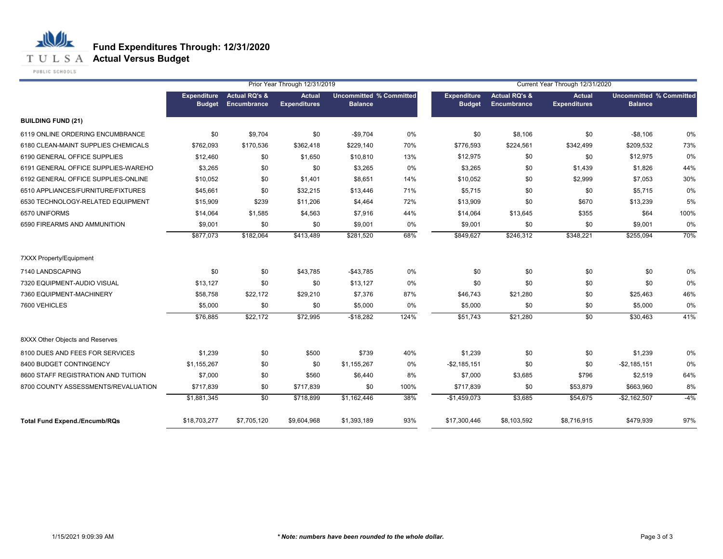**T U L S A Actual Versus Budget** 

PUBLIC SCHOOLS

|                                      |                                     | Prior Year Through 12/31/2019           |                                      |                                                  |      |                                     | Current Year Through 12/31/2020         |                               |                                                  |       |  |
|--------------------------------------|-------------------------------------|-----------------------------------------|--------------------------------------|--------------------------------------------------|------|-------------------------------------|-----------------------------------------|-------------------------------|--------------------------------------------------|-------|--|
|                                      | <b>Expenditure</b><br><b>Budget</b> | <b>Actual RQ's &amp;</b><br>Encumbrance | <b>Actual</b><br><b>Expenditures</b> | <b>Uncommitted % Committed</b><br><b>Balance</b> |      | <b>Expenditure</b><br><b>Budget</b> | <b>Actual RQ's &amp;</b><br>Encumbrance | Actual<br><b>Expenditures</b> | <b>Uncommitted % Committed</b><br><b>Balance</b> |       |  |
| <b>BUILDING FUND (21)</b>            |                                     |                                         |                                      |                                                  |      |                                     |                                         |                               |                                                  |       |  |
| 6119 ONLINE ORDERING ENCUMBRANCE     | \$0                                 | \$9,704                                 | \$0                                  | $-$9,704$                                        | 0%   | \$0                                 | \$8,106                                 | \$0                           | $-$8,106$                                        | 0%    |  |
| 6180 CLEAN-MAINT SUPPLIES CHEMICALS  | \$762,093                           | \$170,536                               | \$362,418                            | \$229,140                                        | 70%  | \$776,593                           | \$224,561                               | \$342,499                     | \$209,532                                        | 73%   |  |
| 6190 GENERAL OFFICE SUPPLIES         | \$12,460                            | \$0                                     | \$1,650                              | \$10,810                                         | 13%  | \$12,975                            | \$0                                     | \$0                           | \$12,975                                         | 0%    |  |
| 6191 GENERAL OFFICE SUPPLIES-WAREHO  | \$3,265                             | \$0                                     | \$0                                  | \$3,265                                          | 0%   | \$3,265                             | \$0                                     | \$1,439                       | \$1,826                                          | 44%   |  |
| 6192 GENERAL OFFICE SUPPLIES-ONLINE  | \$10,052                            | \$0                                     | \$1,401                              | \$8,651                                          | 14%  | \$10,052                            | \$0                                     | \$2,999                       | \$7,053                                          | 30%   |  |
| 6510 APPLIANCES/FURNITURE/FIXTURES   | \$45,661                            | \$0                                     | \$32,215                             | \$13,446                                         | 71%  | \$5,715                             | \$0                                     | \$0                           | \$5,715                                          | 0%    |  |
| 6530 TECHNOLOGY-RELATED EQUIPMENT    | \$15,909                            | \$239                                   | \$11,206                             | \$4,464                                          | 72%  | \$13,909                            | \$0                                     | \$670                         | \$13,239                                         | 5%    |  |
| 6570 UNIFORMS                        | \$14,064                            | \$1,585                                 | \$4,563                              | \$7,916                                          | 44%  | \$14,064                            | \$13,645                                | \$355                         | \$64                                             | 100%  |  |
| 6590 FIREARMS AND AMMUNITION         | \$9,001                             | \$0                                     | \$0                                  | \$9,001                                          | 0%   | \$9,001                             | \$0                                     | \$0                           | \$9,001                                          | 0%    |  |
|                                      | \$877,073                           | \$182,064                               | \$413,489                            | \$281,520                                        | 68%  | \$849,627                           | \$246,312                               | \$348,221                     | \$255,094                                        | 70%   |  |
| 7XXX Property/Equipment              |                                     |                                         |                                      |                                                  |      |                                     |                                         |                               |                                                  |       |  |
| 7140 LANDSCAPING                     | \$0                                 | \$0                                     | \$43,785                             | $-$43,785$                                       | 0%   | \$0                                 | \$0                                     | \$0                           | \$0                                              | 0%    |  |
| 7320 EQUIPMENT-AUDIO VISUAL          | \$13,127                            | \$0                                     | \$0                                  | \$13,127                                         | 0%   | \$0                                 | \$0                                     | \$0                           | \$0                                              | 0%    |  |
| 7360 EQUIPMENT-MACHINERY             | \$58,758                            | \$22,172                                | \$29,210                             | \$7,376                                          | 87%  | \$46,743                            | \$21,280                                | \$0                           | \$25,463                                         | 46%   |  |
| 7600 VEHICLES                        | \$5,000                             | \$0                                     | \$0                                  | \$5,000                                          | 0%   | \$5,000                             | \$0                                     | \$0                           | \$5,000                                          | 0%    |  |
|                                      | \$76,885                            | \$22,172                                | \$72,995                             | $-$18,282$                                       | 124% | \$51,743                            | \$21,280                                | $\sqrt{50}$                   | \$30,463                                         | 41%   |  |
| 8XXX Other Objects and Reserves      |                                     |                                         |                                      |                                                  |      |                                     |                                         |                               |                                                  |       |  |
| 8100 DUES AND FEES FOR SERVICES      | \$1,239                             | \$0                                     | \$500                                | \$739                                            | 40%  | \$1,239                             | \$0                                     | \$0                           | \$1,239                                          | 0%    |  |
| 8400 BUDGET CONTINGENCY              | \$1,155,267                         | \$0                                     | \$0                                  | \$1,155,267                                      | 0%   | $-$ \$2,185,151                     | \$0                                     | \$0                           | $-$2,185,151$                                    | 0%    |  |
| 8600 STAFF REGISTRATION AND TUITION  | \$7,000                             | \$0                                     | \$560                                | \$6,440                                          | 8%   | \$7,000                             | \$3,685                                 | \$796                         | \$2,519                                          | 64%   |  |
| 8700 COUNTY ASSESSMENTS/REVALUATION  | \$717,839                           | \$0                                     | \$717,839                            | \$0                                              | 100% | \$717,839                           | \$0                                     | \$53,879                      | \$663,960                                        | 8%    |  |
|                                      | \$1,881,345                         | \$0                                     | \$718,899                            | \$1,162,446                                      | 38%  | $-$1,459,073$                       | \$3,685                                 | \$54,675                      | $-$2,162,507$                                    | $-4%$ |  |
| <b>Total Fund Expend./Encumb/RQs</b> | \$18,703,277                        | \$7,705,120                             | \$9,604,968                          | \$1,393,189                                      | 93%  | \$17,300,446                        | \$8,103,592                             | \$8,716,915                   | \$479,939                                        | 97%   |  |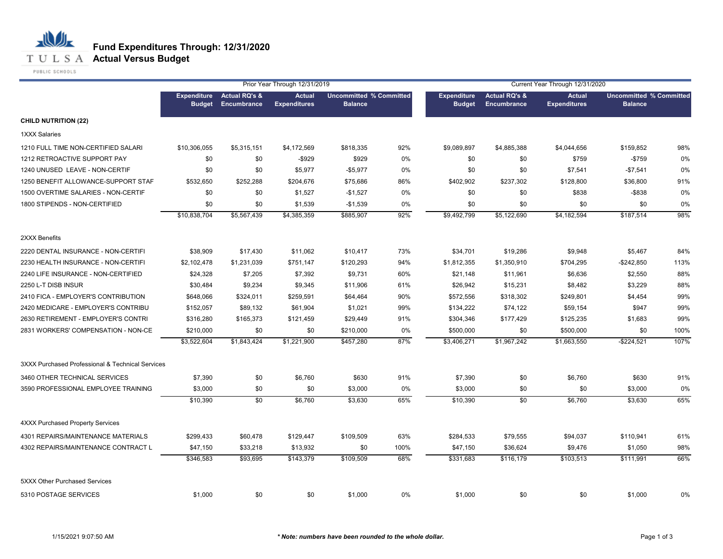**T U L S A Actual Versus Budget** 

PUBLIC SCHOOLS

|                                                  |                                     |                                         | Prior Year Through 12/31/2019        |                                                  |      |                                     |                                         | Current Year Through 12/31/2020      |                                                  |      |
|--------------------------------------------------|-------------------------------------|-----------------------------------------|--------------------------------------|--------------------------------------------------|------|-------------------------------------|-----------------------------------------|--------------------------------------|--------------------------------------------------|------|
|                                                  | <b>Expenditure</b><br><b>Budget</b> | <b>Actual RQ's &amp;</b><br>Encumbrance | <b>Actual</b><br><b>Expenditures</b> | <b>Uncommitted % Committed</b><br><b>Balance</b> |      | <b>Expenditure</b><br><b>Budget</b> | <b>Actual RQ's &amp;</b><br>Encumbrance | <b>Actual</b><br><b>Expenditures</b> | <b>Uncommitted % Committed</b><br><b>Balance</b> |      |
| <b>CHILD NUTRITION (22)</b>                      |                                     |                                         |                                      |                                                  |      |                                     |                                         |                                      |                                                  |      |
| <b>1XXX Salaries</b>                             |                                     |                                         |                                      |                                                  |      |                                     |                                         |                                      |                                                  |      |
| 1210 FULL TIME NON-CERTIFIED SALARI              | \$10,306,055                        | \$5,315,151                             | \$4,172,569                          | \$818,335                                        | 92%  | \$9,089,897                         | \$4,885,388                             | \$4,044,656                          | \$159,852                                        | 98%  |
| 1212 RETROACTIVE SUPPORT PAY                     | \$0                                 | \$0                                     | $-$ \$929                            | \$929                                            | 0%   | \$0                                 | \$0                                     | \$759                                | $-$759$                                          | 0%   |
| 1240 UNUSED LEAVE - NON-CERTIF                   | \$0                                 | \$0                                     | \$5,977                              | $-$5,977$                                        | 0%   | \$0                                 | \$0                                     | \$7,541                              | $-$7,541$                                        | 0%   |
| 1250 BENEFIT ALLOWANCE-SUPPORT STAF              | \$532,650                           | \$252,288                               | \$204,676                            | \$75,686                                         | 86%  | \$402,902                           | \$237,302                               | \$128,800                            | \$36,800                                         | 91%  |
| 1500 OVERTIME SALARIES - NON-CERTIF              | \$0                                 | \$0                                     | \$1,527                              | $-$1,527$                                        | 0%   | \$0                                 | \$0                                     | \$838                                | $-$ \$838                                        | 0%   |
| 1800 STIPENDS - NON-CERTIFIED                    | \$0                                 | \$0                                     | \$1,539                              | $-$1,539$                                        | 0%   | \$0                                 | \$0                                     | \$0                                  | \$0                                              | 0%   |
|                                                  | \$10,838,704                        | \$5,567,439                             | \$4,385,359                          | \$885,907                                        | 92%  | \$9,492,799                         | \$5,122,690                             | \$4,182,594                          | \$187,514                                        | 98%  |
| 2XXX Benefits                                    |                                     |                                         |                                      |                                                  |      |                                     |                                         |                                      |                                                  |      |
| 2220 DENTAL INSURANCE - NON-CERTIFI              | \$38,909                            | \$17,430                                | \$11,062                             | \$10,417                                         | 73%  | \$34,701                            | \$19,286                                | \$9,948                              | \$5,467                                          | 84%  |
| 2230 HEALTH INSURANCE - NON-CERTIFI              | \$2,102,478                         | \$1,231,039                             | \$751,147                            | \$120,293                                        | 94%  | \$1,812,355                         | \$1,350,910                             | \$704,295                            | $-$242,850$                                      | 113% |
| 2240 LIFE INSURANCE - NON-CERTIFIED              | \$24,328                            | \$7,205                                 | \$7,392                              | \$9,731                                          | 60%  | \$21,148                            | \$11,961                                | \$6,636                              | \$2,550                                          | 88%  |
| 2250 L-T DISB INSUR                              | \$30,484                            | \$9,234                                 | \$9,345                              | \$11,906                                         | 61%  | \$26,942                            | \$15,231                                | \$8,482                              | \$3,229                                          | 88%  |
| 2410 FICA - EMPLOYER'S CONTRIBUTION              | \$648,066                           | \$324,011                               | \$259,591                            | \$64,464                                         | 90%  | \$572,556                           | \$318,302                               | \$249,801                            | \$4,454                                          | 99%  |
| 2420 MEDICARE - EMPLOYER'S CONTRIBU              | \$152,057                           | \$89,132                                | \$61,904                             | \$1,021                                          | 99%  | \$134,222                           | \$74,122                                | \$59,154                             | \$947                                            | 99%  |
| 2630 RETIREMENT - EMPLOYER'S CONTRI              | \$316,280                           | \$165,373                               | \$121,459                            | \$29,449                                         | 91%  | \$304,346                           | \$177,429                               | \$125,235                            | \$1,683                                          | 99%  |
| 2831 WORKERS' COMPENSATION - NON-CE              | \$210,000                           | \$0                                     | \$0                                  | \$210,000                                        | 0%   | \$500,000                           | \$0                                     | \$500,000                            | \$0                                              | 100% |
|                                                  | \$3,522,604                         | \$1,843,424                             | \$1,221,900                          | \$457,280                                        | 87%  | \$3,406,271                         | \$1,967,242                             | \$1,663,550                          | $-$224,521$                                      | 107% |
| 3XXX Purchased Professional & Technical Services |                                     |                                         |                                      |                                                  |      |                                     |                                         |                                      |                                                  |      |
| 3460 OTHER TECHNICAL SERVICES                    | \$7,390                             | \$0                                     | \$6,760                              | \$630                                            | 91%  | \$7,390                             | \$0                                     | \$6,760                              | \$630                                            | 91%  |
| 3590 PROFESSIONAL EMPLOYEE TRAINING              | \$3,000                             | \$0                                     | \$0                                  | \$3,000                                          | 0%   | \$3,000                             | \$0                                     | \$0                                  | \$3,000                                          | 0%   |
|                                                  | \$10,390                            | \$0                                     | \$6,760                              | \$3,630                                          | 65%  | \$10,390                            | $\overline{50}$                         | \$6,760                              | \$3,630                                          | 65%  |
| <b>4XXX Purchased Property Services</b>          |                                     |                                         |                                      |                                                  |      |                                     |                                         |                                      |                                                  |      |
| 4301 REPAIRS/MAINTENANCE MATERIALS               | \$299,433                           | \$60,478                                | \$129,447                            | \$109,509                                        | 63%  | \$284,533                           | \$79,555                                | \$94,037                             | \$110,941                                        | 61%  |
| 4302 REPAIRS/MAINTENANCE CONTRACT L              | \$47,150                            | \$33,218                                | \$13,932                             | \$0                                              | 100% | \$47,150                            | \$36,624                                | \$9,476                              | \$1,050                                          | 98%  |
|                                                  | \$346,583                           | \$93,695                                | \$143,379                            | \$109,509                                        | 68%  | \$331,683                           | \$116,179                               | \$103,513                            | \$111,991                                        | 66%  |
| <b>5XXX Other Purchased Services</b>             |                                     |                                         |                                      |                                                  |      |                                     |                                         |                                      |                                                  |      |
| 5310 POSTAGE SERVICES                            | \$1,000                             | \$0                                     | \$0                                  | \$1,000                                          | 0%   | \$1,000                             | \$0                                     | \$0                                  | \$1,000                                          | 0%   |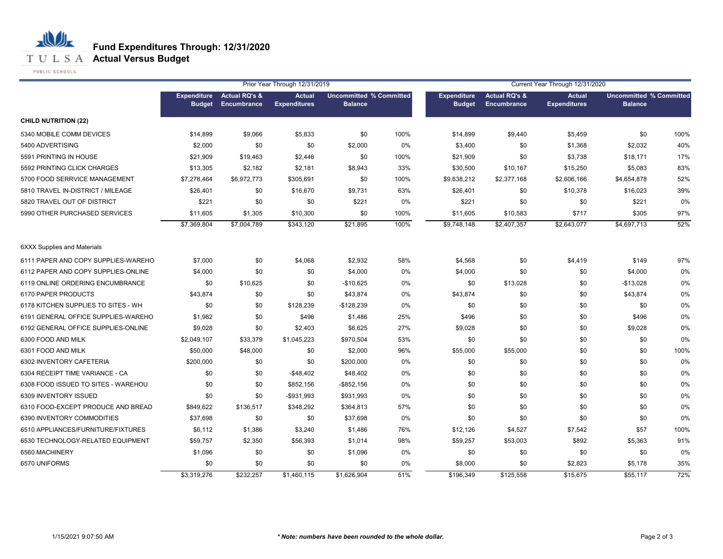**T U L S A Actual Versus Budget** 

PUBLIC SCHOOLS

|                                     |                                     |                                         | Prior Year Through 12/31/2019        |                                                  |      | Current Year Through 12/31/2020     |                                         |                                      |                                                  |      |
|-------------------------------------|-------------------------------------|-----------------------------------------|--------------------------------------|--------------------------------------------------|------|-------------------------------------|-----------------------------------------|--------------------------------------|--------------------------------------------------|------|
|                                     | <b>Expenditure</b><br><b>Budget</b> | <b>Actual RQ's &amp;</b><br>Encumbrance | <b>Actual</b><br><b>Expenditures</b> | <b>Uncommitted % Committed</b><br><b>Balance</b> |      | <b>Expenditure</b><br><b>Budget</b> | <b>Actual RQ's &amp;</b><br>Encumbrance | <b>Actual</b><br><b>Expenditures</b> | <b>Uncommitted % Committed</b><br><b>Balance</b> |      |
| <b>CHILD NUTRITION (22)</b>         |                                     |                                         |                                      |                                                  |      |                                     |                                         |                                      |                                                  |      |
| 5340 MOBILE COMM DEVICES            | \$14,899                            | \$9,066                                 | \$5,833                              | \$0                                              | 100% | \$14,899                            | \$9,440                                 | \$5,459                              | \$0                                              | 100% |
| 5400 ADVERTISING                    | \$2,000                             | \$0                                     | \$0                                  | \$2,000                                          | 0%   | \$3,400                             | \$0                                     | \$1,368                              | \$2,032                                          | 40%  |
| 5591 PRINTING IN HOUSE              | \$21,909                            | \$19,463                                | \$2,446                              | \$0                                              | 100% | \$21,909                            | \$0                                     | \$3,738                              | \$18,171                                         | 17%  |
| 5592 PRINTING CLICK CHARGES         | \$13,305                            | \$2,182                                 | \$2,181                              | \$8,943                                          | 33%  | \$30,500                            | \$10,167                                | \$15,250                             | \$5,083                                          | 83%  |
| 5700 FOOD SERRVICE MANAGEMENT       | \$7,278,464                         | \$6,972,773                             | \$305,691                            | \$0                                              | 100% | \$9,638,212                         | \$2,377,168                             | \$2,606,166                          | \$4,654,878                                      | 52%  |
| 5810 TRAVEL IN-DISTRICT / MILEAGE   | \$26,401                            | \$0                                     | \$16,670                             | \$9,731                                          | 63%  | \$26,401                            | \$0                                     | \$10,378                             | \$16,023                                         | 39%  |
| 5820 TRAVEL OUT OF DISTRICT         | \$221                               | \$0                                     | \$0                                  | \$221                                            | 0%   | \$221                               | \$0                                     | \$0                                  | \$221                                            | 0%   |
| 5990 OTHER PURCHASED SERVICES       | \$11,605                            | \$1,305                                 | \$10,300                             | \$0                                              | 100% | \$11,605                            | \$10,583                                | \$717                                | \$305                                            | 97%  |
|                                     | \$7,369,804                         | \$7,004,789                             | \$343,120                            | \$21,895                                         | 100% | \$9,748,148                         | \$2,407,357                             | \$2,643,077                          | \$4,697,713                                      | 52%  |
| <b>6XXX Supplies and Materials</b>  |                                     |                                         |                                      |                                                  |      |                                     |                                         |                                      |                                                  |      |
| 6111 PAPER AND COPY SUPPLIES-WAREHO | \$7,000                             | \$0                                     | \$4,068                              | \$2,932                                          | 58%  | \$4,568                             | \$0                                     | \$4,419                              | \$149                                            | 97%  |
| 6112 PAPER AND COPY SUPPLIES-ONLINE | \$4,000                             | \$0                                     | \$0                                  | \$4,000                                          | 0%   | \$4,000                             | \$0                                     | \$0                                  | \$4,000                                          | 0%   |
| 6119 ONLINE ORDERING ENCUMBRANCE    | \$0                                 | \$10,625                                | \$0                                  | $-$10,625$                                       | 0%   | \$0                                 | \$13,028                                | \$0                                  | $-$13,028$                                       | 0%   |
| 6170 PAPER PRODUCTS                 | \$43,874                            | \$0                                     | \$0                                  | \$43,874                                         | 0%   | \$43,874                            | \$0                                     | \$0                                  | \$43,874                                         | 0%   |
| 6178 KITCHEN SUPPLIES TO SITES - WH | \$0                                 | \$0                                     | \$128,239                            | $-$128,239$                                      | 0%   | \$0                                 | \$0                                     | \$0                                  | \$0                                              | 0%   |
| 6191 GENERAL OFFICE SUPPLIES-WAREHO | \$1,982                             | \$0                                     | \$496                                | \$1,486                                          | 25%  | \$496                               | \$0                                     | \$0                                  | \$496                                            | 0%   |
| 6192 GENERAL OFFICE SUPPLIES-ONLINE | \$9,028                             | \$0                                     | \$2,403                              | \$6,625                                          | 27%  | \$9,028                             | \$0                                     | \$0                                  | \$9,028                                          | 0%   |
| 6300 FOOD AND MILK                  | \$2,049,107                         | \$33,379                                | \$1,045,223                          | \$970,504                                        | 53%  | \$0                                 | \$0                                     | \$0                                  | \$0                                              | 0%   |
| 6301 FOOD AND MILK                  | \$50,000                            | \$48,000                                | \$0                                  | \$2,000                                          | 96%  | \$55,000                            | \$55,000                                | \$0                                  | \$0                                              | 100% |
| 6302 INVENTORY CAFETERIA            | \$200,000                           | \$0                                     | \$0                                  | \$200,000                                        | 0%   | \$0                                 | \$0                                     | \$0                                  | \$0                                              | 0%   |
| 6304 RECEIPT TIME VARIANCE - CA     | \$0                                 | \$0                                     | $-$48,402$                           | \$48,402                                         | 0%   | \$0                                 | \$0                                     | \$0                                  | \$0                                              | 0%   |
| 6308 FOOD ISSUED TO SITES - WAREHOU | \$0                                 | \$0                                     | \$852,156                            | $-$ \$852,156                                    | 0%   | \$0                                 | \$0                                     | \$0                                  | \$0                                              | 0%   |
| 6309 INVENTORY ISSUED               | \$0                                 | \$0                                     | -\$931,993                           | \$931,993                                        | 0%   | \$0                                 | \$0                                     | \$0                                  | \$0                                              | 0%   |
| 6310 FOOD-EXCEPT PRODUCE AND BREAD  | \$849,622                           | \$136,517                               | \$348,292                            | \$364,813                                        | 57%  | \$0                                 | \$0                                     | \$0                                  | \$0                                              | 0%   |
| 6390 INVENTORY COMMODITIES          | \$37,698                            | \$0                                     | \$0                                  | \$37,698                                         | 0%   | \$0                                 | \$0                                     | \$0                                  | \$0                                              | 0%   |
| 6510 APPLIANCES/FURNITURE/FIXTURES  | \$6.112                             | \$1,386                                 | \$3,240                              | \$1,486                                          | 76%  | \$12,126                            | \$4,527                                 | \$7,542                              | \$57                                             | 100% |
| 6530 TECHNOLOGY-RELATED EQUIPMENT   | \$59,757                            | \$2,350                                 | \$56,393                             | \$1,014                                          | 98%  | \$59,257                            | \$53,003                                | \$892                                | \$5,363                                          | 91%  |
| 6560 MACHINERY                      | \$1,096                             | \$0                                     | \$0                                  | \$1,096                                          | 0%   | \$0                                 | \$0                                     | \$0                                  | \$0                                              | 0%   |
| 6570 UNIFORMS                       | \$0                                 | \$0                                     | \$0                                  | \$0                                              | 0%   | \$8,000                             | \$0                                     | \$2,823                              | \$5,178                                          | 35%  |
|                                     | \$3,319,276                         | \$232,257                               | \$1,460,115                          | \$1,626,904                                      | 51%  | \$196,349                           | \$125,558                               | \$15,675                             | \$55,117                                         | 72%  |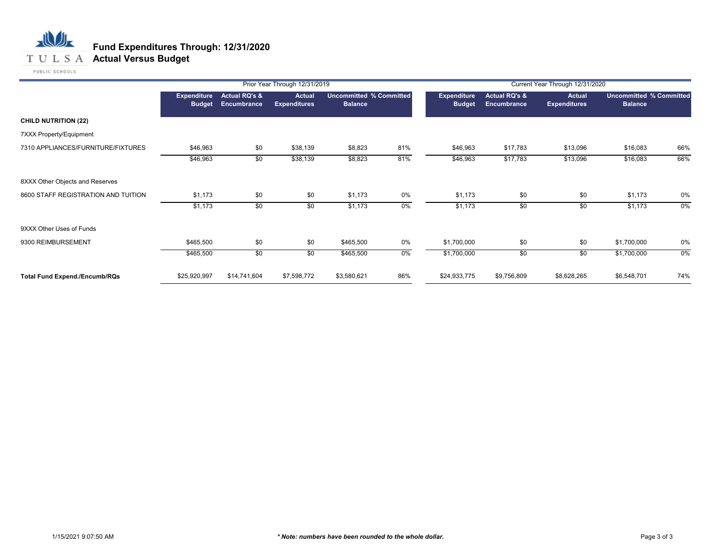### **T U L S A Actual Versus Budget**

PUBLIC SCHOOLS

|                                      |                                     |                                         | Prior Year Through 12/31/2019        |                                                  |     |                                     |                                                | Current Year Through 12/31/2020      |                                                  |       |
|--------------------------------------|-------------------------------------|-----------------------------------------|--------------------------------------|--------------------------------------------------|-----|-------------------------------------|------------------------------------------------|--------------------------------------|--------------------------------------------------|-------|
|                                      | <b>Expenditure</b><br><b>Budget</b> | <b>Actual RQ's &amp;</b><br>Encumbrance | <b>Actual</b><br><b>Expenditures</b> | <b>Uncommitted % Committed</b><br><b>Balance</b> |     | <b>Expenditure</b><br><b>Budget</b> | <b>Actual RQ's &amp;</b><br><b>Encumbrance</b> | <b>Actual</b><br><b>Expenditures</b> | <b>Uncommitted % Committed</b><br><b>Balance</b> |       |
| <b>CHILD NUTRITION (22)</b>          |                                     |                                         |                                      |                                                  |     |                                     |                                                |                                      |                                                  |       |
| 7XXX Property/Equipment              |                                     |                                         |                                      |                                                  |     |                                     |                                                |                                      |                                                  |       |
| 7310 APPLIANCES/FURNITURE/FIXTURES   | \$46,963                            | \$0                                     | \$38,139                             | \$8,823                                          | 81% | \$46,963                            | \$17,783                                       | \$13,096                             | \$16,083                                         | 66%   |
|                                      | \$46,963                            | \$0                                     | \$38,139                             | \$8,823                                          | 81% | \$46,963                            | \$17,783                                       | \$13,096                             | \$16,083                                         | 66%   |
| 8XXX Other Objects and Reserves      |                                     |                                         |                                      |                                                  |     |                                     |                                                |                                      |                                                  |       |
| 8600 STAFF REGISTRATION AND TUITION  | \$1,173                             | \$0                                     | \$0                                  | \$1,173                                          | 0%  | \$1,173                             | \$0                                            | \$0                                  | \$1,173                                          | 0%    |
|                                      | \$1,173                             | \$0                                     | \$0                                  | \$1,173                                          | 0%  | \$1,173                             | \$0                                            | \$0                                  | \$1,173                                          | $0\%$ |
| 9XXX Other Uses of Funds             |                                     |                                         |                                      |                                                  |     |                                     |                                                |                                      |                                                  |       |
| 9300 REIMBURSEMENT                   | \$465,500                           | \$0                                     | \$0                                  | \$465,500                                        | 0%  | \$1,700,000                         | \$0                                            | \$0                                  | \$1,700,000                                      | 0%    |
|                                      | \$465,500                           | \$0                                     | \$0                                  | \$465,500                                        | 0%  | \$1,700,000                         | \$0                                            | \$0                                  | \$1,700,000                                      | 0%    |
| <b>Total Fund Expend./Encumb/RQs</b> | \$25,920,997                        | \$14,741,604                            | \$7,598,772                          | \$3,580,621                                      | 86% | \$24,933,775                        | \$9,756,809                                    | \$8,628,265                          | \$6,548,701                                      | 74%   |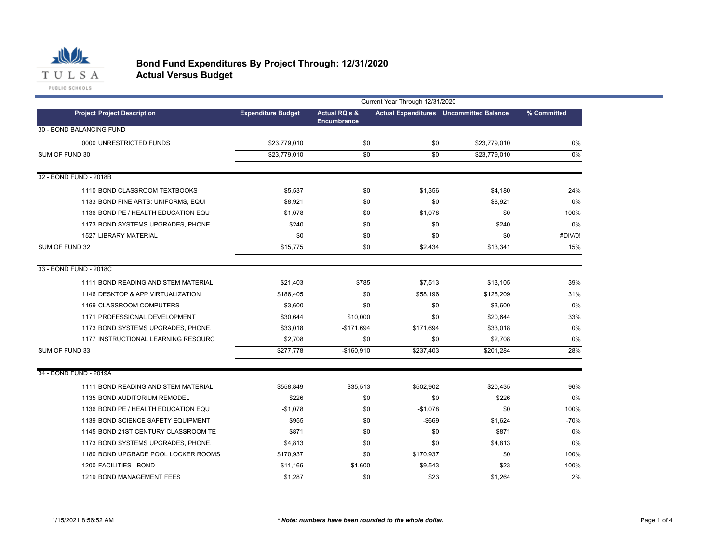

### **Bond Fund Expenditures By Project Through: 12/31/2020 Actual Versus Budget**

PUBLIC SCHOOLS

|                                     | Current Year Through 12/31/2020 |                          |                 |                                                |             |  |  |
|-------------------------------------|---------------------------------|--------------------------|-----------------|------------------------------------------------|-------------|--|--|
| <b>Project Project Description</b>  | <b>Expenditure Budget</b>       | <b>Actual RQ's &amp;</b> |                 | <b>Actual Expenditures</b> Uncommitted Balance | % Committed |  |  |
| 30 - BOND BALANCING FUND            |                                 | <b>Encumbrance</b>       |                 |                                                |             |  |  |
| 0000 UNRESTRICTED FUNDS             | \$23,779,010                    | \$0                      | \$0             | \$23,779,010                                   | 0%          |  |  |
| SUM OF FUND 30                      | \$23,779,010                    | $\overline{50}$          | $\overline{50}$ | \$23,779,010                                   | $0\%$       |  |  |
|                                     |                                 |                          |                 |                                                |             |  |  |
| 32 - BOND FUND - 2018B              |                                 |                          |                 |                                                |             |  |  |
| 1110 BOND CLASSROOM TEXTBOOKS       | \$5,537                         | \$0                      | \$1,356         | \$4,180                                        | 24%         |  |  |
| 1133 BOND FINE ARTS: UNIFORMS, EQUI | \$8,921                         | \$0                      | \$0             | \$8,921                                        | 0%          |  |  |
| 1136 BOND PE / HEALTH EDUCATION EQU | \$1.078                         | \$0                      | \$1,078         | \$0                                            | 100%        |  |  |
| 1173 BOND SYSTEMS UPGRADES, PHONE,  | \$240                           | \$0                      | \$0             | \$240                                          | 0%          |  |  |
| <b>1527 LIBRARY MATERIAL</b>        | \$0                             | \$0                      | \$0             | \$0                                            | #DIV/0!     |  |  |
| SUM OF FUND 32                      | \$15,775                        | $\overline{50}$          | \$2,434         | \$13,341                                       | 15%         |  |  |
| 33 - BOND FUND - 2018C              |                                 |                          |                 |                                                |             |  |  |
| 1111 BOND READING AND STEM MATERIAL | \$21,403                        | \$785                    | \$7,513         | \$13,105                                       | 39%         |  |  |
| 1146 DESKTOP & APP VIRTUALIZATION   | \$186,405                       | \$0                      | \$58,196        | \$128,209                                      | 31%         |  |  |
| 1169 CLASSROOM COMPUTERS            | \$3,600                         | \$0                      | \$0             | \$3,600                                        | 0%          |  |  |
| 1171 PROFESSIONAL DEVELOPMENT       | \$30,644                        | \$10,000                 | \$0             | \$20,644                                       | 33%         |  |  |
| 1173 BOND SYSTEMS UPGRADES, PHONE,  | \$33,018                        | $-$171,694$              | \$171,694       | \$33,018                                       | 0%          |  |  |
| 1177 INSTRUCTIONAL LEARNING RESOURC | \$2,708                         | \$0                      | \$0             | \$2,708                                        | 0%          |  |  |
| SUM OF FUND 33                      | \$277,778                       | $-$160,910$              | \$237,403       | \$201,284                                      | 28%         |  |  |
| 34 - BOND FUND - 2019A              |                                 |                          |                 |                                                |             |  |  |
| 1111 BOND READING AND STEM MATERIAL | \$558,849                       | \$35,513                 | \$502,902       | \$20,435                                       | 96%         |  |  |
| 1135 BOND AUDITORIUM REMODEL        | \$226                           | \$0                      | \$0             | \$226                                          | 0%          |  |  |
| 1136 BOND PE / HEALTH EDUCATION EQU | $-$1,078$                       | \$0                      | $-$1,078$       | \$0                                            | 100%        |  |  |
| 1139 BOND SCIENCE SAFETY EQUIPMENT  | \$955                           | \$0                      | -\$669          | \$1,624                                        | $-70%$      |  |  |
| 1145 BOND 21ST CENTURY CLASSROOM TE | \$871                           | \$0                      | \$0             | \$871                                          | 0%          |  |  |
| 1173 BOND SYSTEMS UPGRADES, PHONE,  | \$4,813                         | \$0                      | \$0             | \$4,813                                        | 0%          |  |  |
| 1180 BOND UPGRADE POOL LOCKER ROOMS | \$170,937                       | \$0                      | \$170,937       | \$0                                            | 100%        |  |  |
| 1200 FACILITIES - BOND              | \$11,166                        | \$1,600                  | \$9,543         | \$23                                           | 100%        |  |  |
| 1219 BOND MANAGEMENT FEES           | \$1,287                         | \$0                      | \$23            | \$1,264                                        | 2%          |  |  |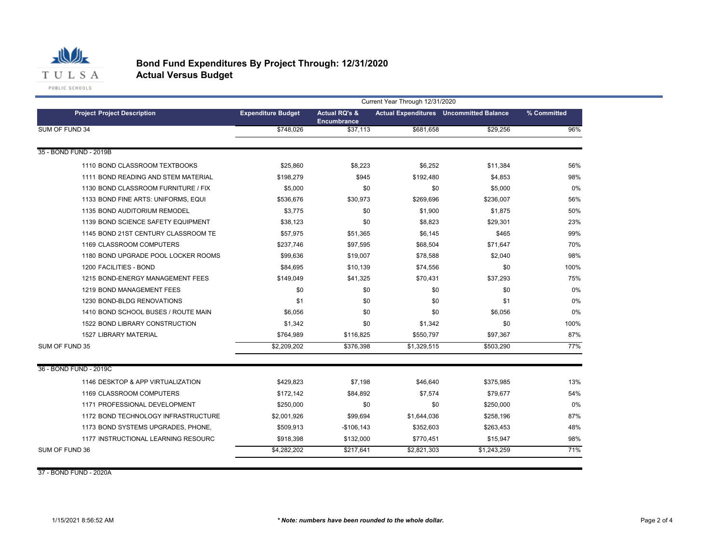

### **Bond Fund Expenditures By Project Through: 12/31/2020 Actual Versus Budget**

|                                     | Current Year Through 12/31/2020 |                                                |             |                                                |             |  |
|-------------------------------------|---------------------------------|------------------------------------------------|-------------|------------------------------------------------|-------------|--|
| <b>Project Project Description</b>  | <b>Expenditure Budget</b>       | <b>Actual RQ's &amp;</b><br><b>Encumbrance</b> |             | <b>Actual Expenditures</b> Uncommitted Balance | % Committed |  |
| SUM OF FUND 34                      | \$748,026                       | \$37,113                                       | \$681,658   | \$29,256                                       | 96%         |  |
| 35 - BOND FUND - 2019B              |                                 |                                                |             |                                                |             |  |
| 1110 BOND CLASSROOM TEXTBOOKS       | \$25,860                        | \$8,223                                        | \$6,252     | \$11,384                                       | 56%         |  |
| 1111 BOND READING AND STEM MATERIAL | \$198,279                       | \$945                                          | \$192.480   | \$4,853                                        | 98%         |  |
| 1130 BOND CLASSROOM FURNITURE / FIX | \$5,000                         | \$0                                            | \$0         | \$5,000                                        | 0%          |  |
| 1133 BOND FINE ARTS: UNIFORMS, EQUI | \$536,676                       | \$30,973                                       | \$269,696   | \$236,007                                      | 56%         |  |
| 1135 BOND AUDITORIUM REMODEL        | \$3,775                         | \$0                                            | \$1,900     | \$1,875                                        | 50%         |  |
| 1139 BOND SCIENCE SAFETY EQUIPMENT  | \$38,123                        | \$0                                            | \$8,823     | \$29.301                                       | 23%         |  |
| 1145 BOND 21ST CENTURY CLASSROOM TE | \$57,975                        | \$51,365                                       | \$6,145     | \$465                                          | 99%         |  |
| 1169 CLASSROOM COMPUTERS            | \$237,746                       | \$97,595                                       | \$68,504    | \$71,647                                       | 70%         |  |
| 1180 BOND UPGRADE POOL LOCKER ROOMS | \$99,636                        | \$19,007                                       | \$78,588    | \$2,040                                        | 98%         |  |
| 1200 FACILITIES - BOND              | \$84,695                        | \$10.139                                       | \$74,556    | \$0                                            | 100%        |  |
| 1215 BOND-ENERGY MANAGEMENT FEES    | \$149,049                       | \$41,325                                       | \$70,431    | \$37,293                                       | 75%         |  |
| 1219 BOND MANAGEMENT FEES           | \$0                             | \$0                                            | \$0         | \$0                                            | 0%          |  |
| 1230 BOND-BLDG RENOVATIONS          | \$1                             | \$0                                            | \$0         | \$1                                            | 0%          |  |
| 1410 BOND SCHOOL BUSES / ROUTE MAIN | \$6,056                         | \$0                                            | \$0         | \$6,056                                        | 0%          |  |
| 1522 BOND LIBRARY CONSTRUCTION      | \$1,342                         | \$0                                            | \$1,342     | \$0                                            | 100%        |  |
| 1527 LIBRARY MATERIAL               | \$764,989                       | \$116,825                                      | \$550,797   | \$97,367                                       | 87%         |  |
| SUM OF FUND 35                      | \$2,209,202                     | \$376,398                                      | \$1,329,515 | \$503,290                                      | 77%         |  |
| 36 - BOND FUND - 2019C              |                                 |                                                |             |                                                |             |  |
| 1146 DESKTOP & APP VIRTUALIZATION   | \$429,823                       | \$7,198                                        | \$46,640    | \$375,985                                      | 13%         |  |
| 1169 CLASSROOM COMPUTERS            | \$172,142                       | \$84,892                                       | \$7,574     | \$79,677                                       | 54%         |  |
| 1171 PROFESSIONAL DEVELOPMENT       | \$250,000                       | \$0                                            | \$0         | \$250,000                                      | 0%          |  |
| 1172 BOND TECHNOLOGY INFRASTRUCTURE | \$2,001,926                     | \$99.694                                       | \$1,644,036 | \$258,196                                      | 87%         |  |
| 1173 BOND SYSTEMS UPGRADES, PHONE,  | \$509,913                       | $-$106,143$                                    | \$352,603   | \$263,453                                      | 48%         |  |
| 1177 INSTRUCTIONAL LEARNING RESOURC | \$918,398                       | \$132,000                                      | \$770,451   | \$15,947                                       | 98%         |  |
| SUM OF FUND 36                      | \$4,282,202                     | \$217,641                                      | \$2,821,303 | \$1,243,259                                    | 71%         |  |

37 - BOND FUND - 2020A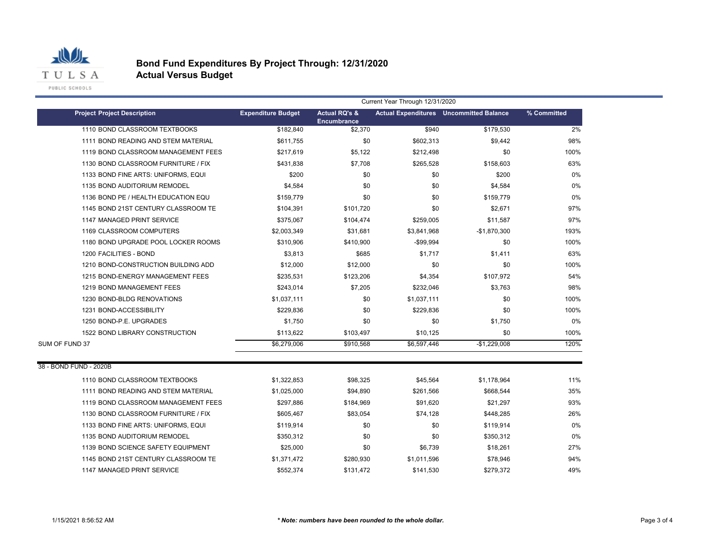

**Contract** 

### **Bond Fund Expenditures By Project Through: 12/31/2020 Actual Versus Budget**

|                                     | Current Year Through 12/31/2020 |                                                |             |                                                |             |  |
|-------------------------------------|---------------------------------|------------------------------------------------|-------------|------------------------------------------------|-------------|--|
| <b>Project Project Description</b>  | <b>Expenditure Budget</b>       | <b>Actual RQ's &amp;</b><br><b>Encumbrance</b> |             | <b>Actual Expenditures</b> Uncommitted Balance | % Committed |  |
| 1110 BOND CLASSROOM TEXTBOOKS       | \$182,840                       | \$2,370                                        | \$940       | \$179,530                                      | 2%          |  |
| 1111 BOND READING AND STEM MATERIAL | \$611.755                       | \$0                                            | \$602,313   | \$9,442                                        | 98%         |  |
| 1119 BOND CLASSROOM MANAGEMENT FEES | \$217,619                       | \$5,122                                        | \$212,498   | \$0                                            | 100%        |  |
| 1130 BOND CLASSROOM FURNITURE / FIX | \$431,838                       | \$7,708                                        | \$265,528   | \$158,603                                      | 63%         |  |
| 1133 BOND FINE ARTS: UNIFORMS, EQUI | \$200                           | \$0                                            | \$0         | \$200                                          | 0%          |  |
| 1135 BOND AUDITORIUM REMODEL        | \$4,584                         | \$0                                            | \$0         | \$4,584                                        | 0%          |  |
| 1136 BOND PE / HEALTH EDUCATION EQU | \$159,779                       | \$0                                            | \$0         | \$159,779                                      | 0%          |  |
| 1145 BOND 21ST CENTURY CLASSROOM TE | \$104,391                       | \$101,720                                      | \$0         | \$2,671                                        | 97%         |  |
| 1147 MANAGED PRINT SERVICE          | \$375,067                       | \$104,474                                      | \$259,005   | \$11,587                                       | 97%         |  |
| 1169 CLASSROOM COMPUTERS            | \$2,003,349                     | \$31,681                                       | \$3,841,968 | $-$1,870,300$                                  | 193%        |  |
| 1180 BOND UPGRADE POOL LOCKER ROOMS | \$310,906                       | \$410,900                                      | $-$99,994$  | \$0                                            | 100%        |  |
| 1200 FACILITIES - BOND              | \$3,813                         | \$685                                          | \$1,717     | \$1,411                                        | 63%         |  |
| 1210 BOND-CONSTRUCTION BUILDING ADD | \$12,000                        | \$12,000                                       | \$0         | \$0                                            | 100%        |  |
| 1215 BOND-ENERGY MANAGEMENT FEES    | \$235,531                       | \$123,206                                      | \$4,354     | \$107,972                                      | 54%         |  |
| 1219 BOND MANAGEMENT FEES           | \$243,014                       | \$7,205                                        | \$232,046   | \$3,763                                        | 98%         |  |
| 1230 BOND-BLDG RENOVATIONS          | \$1,037,111                     | \$0                                            | \$1,037,111 | \$0                                            | 100%        |  |
| 1231 BOND-ACCESSIBILITY             | \$229,836                       | \$0                                            | \$229,836   | \$0                                            | 100%        |  |
| 1250 BOND-P.E. UPGRADES             | \$1,750                         | \$0                                            | \$0         | \$1,750                                        | 0%          |  |
| 1522 BOND LIBRARY CONSTRUCTION      | \$113,622                       | \$103,497                                      | \$10,125    | \$0                                            | 100%        |  |
| SUM OF FUND 37                      | \$6,279,006                     | \$910,568                                      | \$6,597,446 | $-$1,229,008$                                  | 120%        |  |
|                                     |                                 |                                                |             |                                                |             |  |
| 38 - BOND FUND - 2020B              |                                 |                                                |             |                                                |             |  |
| 1110 BOND CLASSROOM TEXTBOOKS       | \$1,322,853                     | \$98,325                                       | \$45,564    | \$1,178,964                                    | 11%         |  |
| 1111 BOND READING AND STEM MATERIAL | \$1,025,000                     | \$94,890                                       | \$261,566   | \$668,544                                      | 35%         |  |
| 1119 BOND CLASSROOM MANAGEMENT FEES | \$297,886                       | \$184,969                                      | \$91,620    | \$21,297                                       | 93%         |  |
| 1130 BOND CLASSROOM FURNITURE / FIX | \$605,467                       | \$83,054                                       | \$74,128    | \$448,285                                      | 26%         |  |
| 1133 BOND FINE ARTS: UNIFORMS, EQUI | \$119,914                       | \$0                                            | \$0         | \$119,914                                      | $0\%$       |  |
| 1135 BOND AUDITORIUM REMODEL        | \$350.312                       | \$0                                            | \$0         | \$350,312                                      | 0%          |  |
| 1139 BOND SCIENCE SAFETY EQUIPMENT  | \$25,000                        | \$0                                            | \$6,739     | \$18,261                                       | 27%         |  |
| 1145 BOND 21ST CENTURY CLASSROOM TE | \$1,371,472                     | \$280,930                                      | \$1,011,596 | \$78,946                                       | 94%         |  |
| 1147 MANAGED PRINT SERVICE          | \$552,374                       | \$131,472                                      | \$141,530   | \$279,372                                      | 49%         |  |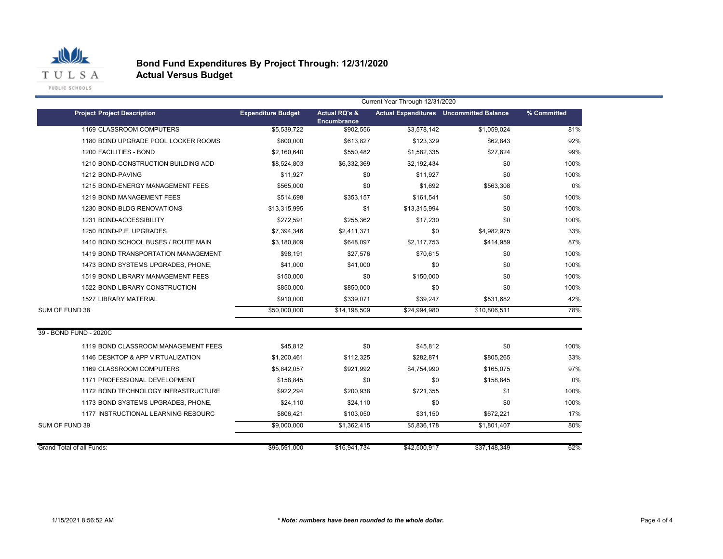

### **Bond Fund Expenditures By Project Through: 12/31/2020 Actual Versus Budget**

| Current Year Through 12/31/2020     |                                                                                                                               |              |              |              |             |  |
|-------------------------------------|-------------------------------------------------------------------------------------------------------------------------------|--------------|--------------|--------------|-------------|--|
| <b>Project Project Description</b>  | <b>Expenditure Budget</b><br><b>Actual RQ's &amp;</b><br><b>Actual Expenditures</b> Uncommitted Balance<br><b>Encumbrance</b> |              |              |              | % Committed |  |
| 1169 CLASSROOM COMPUTERS            | \$5,539,722                                                                                                                   | \$902,556    | \$3,578,142  | \$1,059,024  | 81%         |  |
| 1180 BOND UPGRADE POOL LOCKER ROOMS | \$800,000                                                                                                                     | \$613,827    | \$123,329    | \$62,843     | 92%         |  |
| 1200 FACILITIES - BOND              | \$2,160,640                                                                                                                   | \$550,482    | \$1,582,335  | \$27,824     | 99%         |  |
| 1210 BOND-CONSTRUCTION BUILDING ADD | \$8,524,803                                                                                                                   | \$6,332,369  | \$2,192,434  | \$0          | 100%        |  |
| 1212 BOND-PAVING                    | \$11,927                                                                                                                      | \$0          | \$11,927     | \$0          | 100%        |  |
| 1215 BOND-ENERGY MANAGEMENT FEES    | \$565,000                                                                                                                     | \$0          | \$1.692      | \$563,308    | 0%          |  |
| 1219 BOND MANAGEMENT FEES           | \$514,698                                                                                                                     | \$353,157    | \$161,541    | \$0          | 100%        |  |
| 1230 BOND-BLDG RENOVATIONS          | \$13,315,995                                                                                                                  | \$1          | \$13,315,994 | \$0          | 100%        |  |
| 1231 BOND-ACCESSIBILITY             | \$272,591                                                                                                                     | \$255,362    | \$17,230     | \$0          | 100%        |  |
| 1250 BOND-P.E. UPGRADES             | \$7,394,346                                                                                                                   | \$2,411,371  | \$0          | \$4,982,975  | 33%         |  |
| 1410 BOND SCHOOL BUSES / ROUTE MAIN | \$3,180,809                                                                                                                   | \$648,097    | \$2,117,753  | \$414,959    | 87%         |  |
| 1419 BOND TRANSPORTATION MANAGEMENT | \$98,191                                                                                                                      | \$27,576     | \$70,615     | \$0          | 100%        |  |
| 1473 BOND SYSTEMS UPGRADES, PHONE,  | \$41.000                                                                                                                      | \$41,000     | \$0          | \$0          | 100%        |  |
| 1519 BOND LIBRARY MANAGEMENT FEES   | \$150,000                                                                                                                     | \$0          | \$150,000    | \$0          | 100%        |  |
| 1522 BOND LIBRARY CONSTRUCTION      | \$850,000                                                                                                                     | \$850,000    | \$0          | \$0          | 100%        |  |
| <b>1527 LIBRARY MATERIAL</b>        | \$910,000                                                                                                                     | \$339,071    | \$39,247     | \$531,682    | 42%         |  |
| SUM OF FUND 38                      | \$50,000,000                                                                                                                  | \$14,198,509 | \$24,994,980 | \$10,806,511 | 78%         |  |
| 39 - BOND FUND - 2020C              |                                                                                                                               |              |              |              |             |  |
| 1119 BOND CLASSROOM MANAGEMENT FEES | \$45,812                                                                                                                      | \$0          | \$45,812     | \$0          | 100%        |  |
| 1146 DESKTOP & APP VIRTUALIZATION   | \$1,200,461                                                                                                                   | \$112.325    | \$282.871    | \$805.265    | 33%         |  |
| 1169 CLASSROOM COMPUTERS            | \$5,842,057                                                                                                                   | \$921,992    | \$4,754,990  | \$165,075    | 97%         |  |
| 1171 PROFESSIONAL DEVELOPMENT       | \$158,845                                                                                                                     | \$0          | \$0          | \$158,845    | 0%          |  |
| 1172 BOND TECHNOLOGY INFRASTRUCTURE | \$922,294                                                                                                                     | \$200,938    | \$721,355    | \$1          | 100%        |  |
| 1173 BOND SYSTEMS UPGRADES, PHONE,  | \$24,110                                                                                                                      | \$24,110     | \$0          | \$0          | 100%        |  |
| 1177 INSTRUCTIONAL LEARNING RESOURC | \$806,421                                                                                                                     | \$103,050    | \$31.150     | \$672,221    | 17%         |  |
| SUM OF FUND 39                      | \$9,000,000                                                                                                                   | \$1,362,415  | \$5,836,178  | \$1,801,407  | 80%         |  |
| Grand Total of all Funds:           | \$96,591,000                                                                                                                  | \$16,941,734 | \$42,500,917 | \$37.148.349 | 62%         |  |